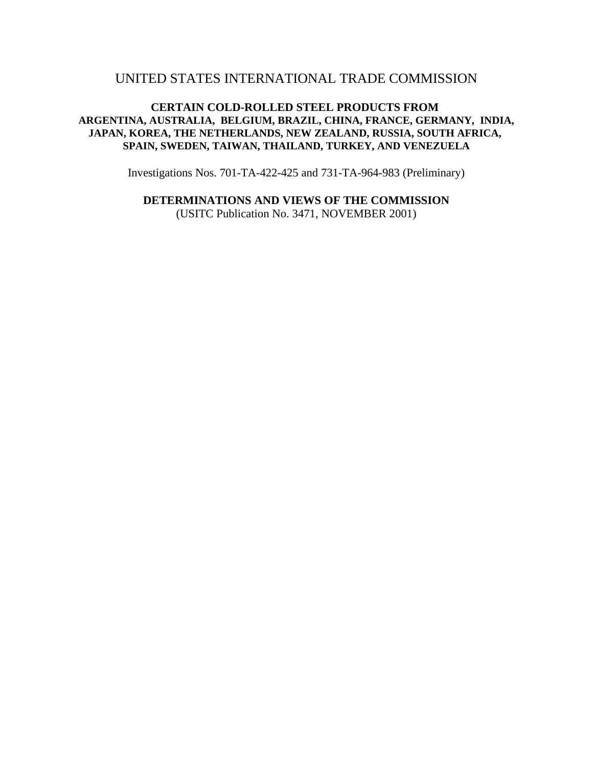# UNITED STATES INTERNATIONAL TRADE COMMISSION

# **CERTAIN COLD-ROLLED STEEL PRODUCTS FROM ARGENTINA, AUSTRALIA, BELGIUM, BRAZIL, CHINA, FRANCE, GERMANY, INDIA, JAPAN, KOREA, THE NETHERLANDS, NEW ZEALAND, RUSSIA, SOUTH AFRICA, SPAIN, SWEDEN, TAIWAN, THAILAND, TURKEY, AND VENEZUELA**

Investigations Nos. 701-TA-422-425 and 731-TA-964-983 (Preliminary)

**DETERMINATIONS AND VIEWS OF THE COMMISSION**

(USITC Publication No. 3471, NOVEMBER 2001)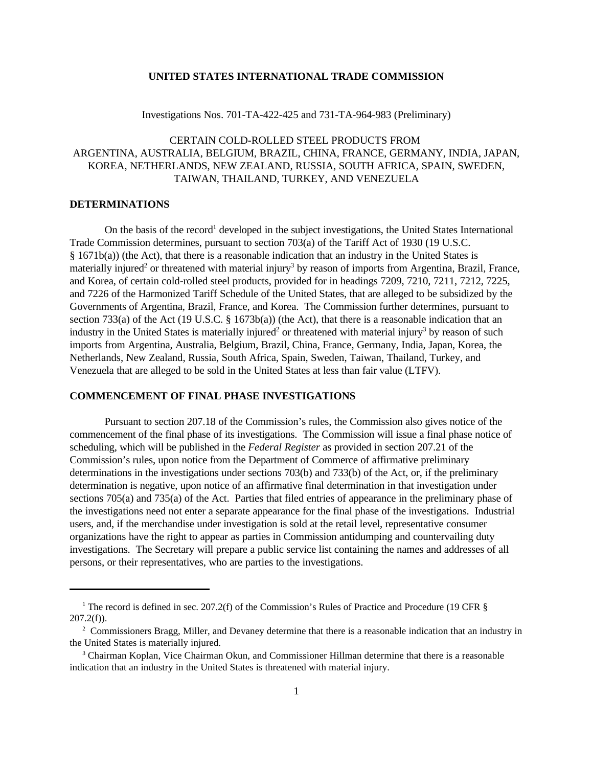# **UNITED STATES INTERNATIONAL TRADE COMMISSION**

Investigations Nos. 701-TA-422-425 and 731-TA-964-983 (Preliminary)

# CERTAIN COLD-ROLLED STEEL PRODUCTS FROM ARGENTINA, AUSTRALIA, BELGIUM, BRAZIL, CHINA, FRANCE, GERMANY, INDIA, JAPAN, KOREA, NETHERLANDS, NEW ZEALAND, RUSSIA, SOUTH AFRICA, SPAIN, SWEDEN, TAIWAN, THAILAND, TURKEY, AND VENEZUELA

#### **DETERMINATIONS**

On the basis of the record<sup>1</sup> developed in the subject investigations, the United States International Trade Commission determines, pursuant to section 703(a) of the Tariff Act of 1930 (19 U.S.C. § 1671b(a)) (the Act), that there is a reasonable indication that an industry in the United States is materially injured<sup>2</sup> or threatened with material injury<sup>3</sup> by reason of imports from Argentina, Brazil, France, and Korea, of certain cold-rolled steel products, provided for in headings 7209, 7210, 7211, 7212, 7225, and 7226 of the Harmonized Tariff Schedule of the United States, that are alleged to be subsidized by the Governments of Argentina, Brazil, France, and Korea. The Commission further determines, pursuant to section 733(a) of the Act (19 U.S.C.  $\S$  1673b(a)) (the Act), that there is a reasonable indication that an industry in the United States is materially injured<sup>2</sup> or threatened with material injury<sup>3</sup> by reason of such imports from Argentina, Australia, Belgium, Brazil, China, France, Germany, India, Japan, Korea, the Netherlands, New Zealand, Russia, South Africa, Spain, Sweden, Taiwan, Thailand, Turkey, and Venezuela that are alleged to be sold in the United States at less than fair value (LTFV).

# **COMMENCEMENT OF FINAL PHASE INVESTIGATIONS**

Pursuant to section 207.18 of the Commission's rules, the Commission also gives notice of the commencement of the final phase of its investigations. The Commission will issue a final phase notice of scheduling, which will be published in the *Federal Register* as provided in section 207.21 of the Commission's rules, upon notice from the Department of Commerce of affirmative preliminary determinations in the investigations under sections 703(b) and 733(b) of the Act, or, if the preliminary determination is negative, upon notice of an affirmative final determination in that investigation under sections 705(a) and 735(a) of the Act. Parties that filed entries of appearance in the preliminary phase of the investigations need not enter a separate appearance for the final phase of the investigations. Industrial users, and, if the merchandise under investigation is sold at the retail level, representative consumer organizations have the right to appear as parties in Commission antidumping and countervailing duty investigations. The Secretary will prepare a public service list containing the names and addresses of all persons, or their representatives, who are parties to the investigations.

<sup>&</sup>lt;sup>1</sup> The record is defined in sec. 207.2(f) of the Commission's Rules of Practice and Procedure (19 CFR §  $207.2(f)$ ).

<sup>&</sup>lt;sup>2</sup> Commissioners Bragg, Miller, and Devaney determine that there is a reasonable indication that an industry in the United States is materially injured.

<sup>&</sup>lt;sup>3</sup> Chairman Koplan, Vice Chairman Okun, and Commissioner Hillman determine that there is a reasonable indication that an industry in the United States is threatened with material injury.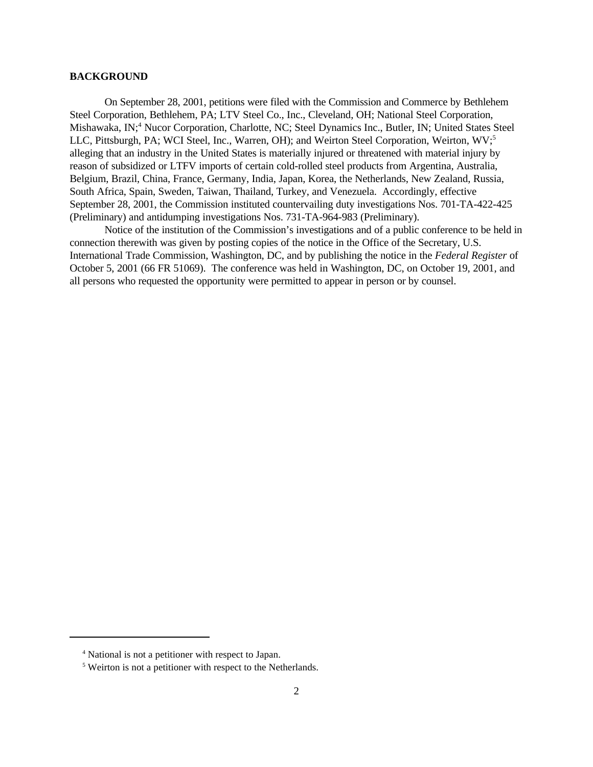#### **BACKGROUND**

On September 28, 2001, petitions were filed with the Commission and Commerce by Bethlehem Steel Corporation, Bethlehem, PA; LTV Steel Co., Inc., Cleveland, OH; National Steel Corporation, Mishawaka, IN;<sup>4</sup> Nucor Corporation, Charlotte, NC; Steel Dynamics Inc., Butler, IN; United States Steel LLC, Pittsburgh, PA; WCI Steel, Inc., Warren, OH); and Weirton Steel Corporation, Weirton, WV;<sup>5</sup> alleging that an industry in the United States is materially injured or threatened with material injury by reason of subsidized or LTFV imports of certain cold-rolled steel products from Argentina, Australia, Belgium, Brazil, China, France, Germany, India, Japan, Korea, the Netherlands, New Zealand, Russia, South Africa, Spain, Sweden, Taiwan, Thailand, Turkey, and Venezuela. Accordingly, effective September 28, 2001, the Commission instituted countervailing duty investigations Nos. 701-TA-422-425 (Preliminary) and antidumping investigations Nos. 731-TA-964-983 (Preliminary).

Notice of the institution of the Commission's investigations and of a public conference to be held in connection therewith was given by posting copies of the notice in the Office of the Secretary, U.S. International Trade Commission, Washington, DC, and by publishing the notice in the *Federal Register* of October 5, 2001 (66 FR 51069). The conference was held in Washington, DC, on October 19, 2001, and all persons who requested the opportunity were permitted to appear in person or by counsel.

<sup>4</sup> National is not a petitioner with respect to Japan.

<sup>&</sup>lt;sup>5</sup> Weirton is not a petitioner with respect to the Netherlands.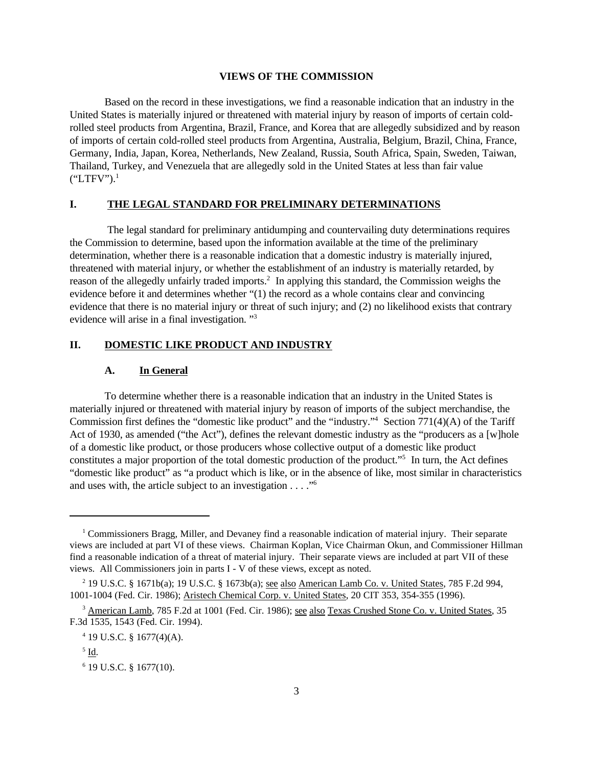#### **VIEWS OF THE COMMISSION**

Based on the record in these investigations, we find a reasonable indication that an industry in the United States is materially injured or threatened with material injury by reason of imports of certain coldrolled steel products from Argentina, Brazil, France, and Korea that are allegedly subsidized and by reason of imports of certain cold-rolled steel products from Argentina, Australia, Belgium, Brazil, China, France, Germany, India, Japan, Korea, Netherlands, New Zealand, Russia, South Africa, Spain, Sweden, Taiwan, Thailand, Turkey, and Venezuela that are allegedly sold in the United States at less than fair value  $("LTFV")$ <sup>1</sup>

# **I. THE LEGAL STANDARD FOR PRELIMINARY DETERMINATIONS**

 The legal standard for preliminary antidumping and countervailing duty determinations requires the Commission to determine, based upon the information available at the time of the preliminary determination, whether there is a reasonable indication that a domestic industry is materially injured, threatened with material injury, or whether the establishment of an industry is materially retarded, by reason of the allegedly unfairly traded imports.<sup>2</sup> In applying this standard, the Commission weighs the evidence before it and determines whether "(1) the record as a whole contains clear and convincing evidence that there is no material injury or threat of such injury; and (2) no likelihood exists that contrary evidence will arise in a final investigation. "<sup>3</sup>

### **II. DOMESTIC LIKE PRODUCT AND INDUSTRY**

#### **A. In General**

To determine whether there is a reasonable indication that an industry in the United States is materially injured or threatened with material injury by reason of imports of the subject merchandise, the Commission first defines the "domestic like product" and the "industry."<sup>4</sup> Section 771(4)(A) of the Tariff Act of 1930, as amended ("the Act"), defines the relevant domestic industry as the "producers as a [w]hole of a domestic like product, or those producers whose collective output of a domestic like product constitutes a major proportion of the total domestic production of the product."<sup>5</sup> In turn, the Act defines "domestic like product" as "a product which is like, or in the absence of like, most similar in characteristics and uses with, the article subject to an investigation  $\dots$ ."<sup>6</sup>

<sup>&</sup>lt;sup>1</sup> Commissioners Bragg, Miller, and Devaney find a reasonable indication of material injury. Their separate views are included at part VI of these views. Chairman Koplan, Vice Chairman Okun, and Commissioner Hillman find a reasonable indication of a threat of material injury. Their separate views are included at part VII of these views. All Commissioners join in parts I - V of these views, except as noted.

<sup>&</sup>lt;sup>2</sup> 19 U.S.C. § 1671b(a); 19 U.S.C. § 1673b(a); <u>see also American Lamb Co. v. United States,</u> 785 F.2d 994, 1001-1004 (Fed. Cir. 1986); Aristech Chemical Corp. v. United States, 20 CIT 353, 354-355 (1996).

<sup>&</sup>lt;sup>3</sup> American Lamb, 785 F.2d at 1001 (Fed. Cir. 1986); see also Texas Crushed Stone Co. v. United States, 35 F.3d 1535, 1543 (Fed. Cir. 1994).

 $4$  19 U.S.C. § 1677(4)(A).

 $^5$  <u>Id</u>.

<sup>6</sup> 19 U.S.C. § 1677(10).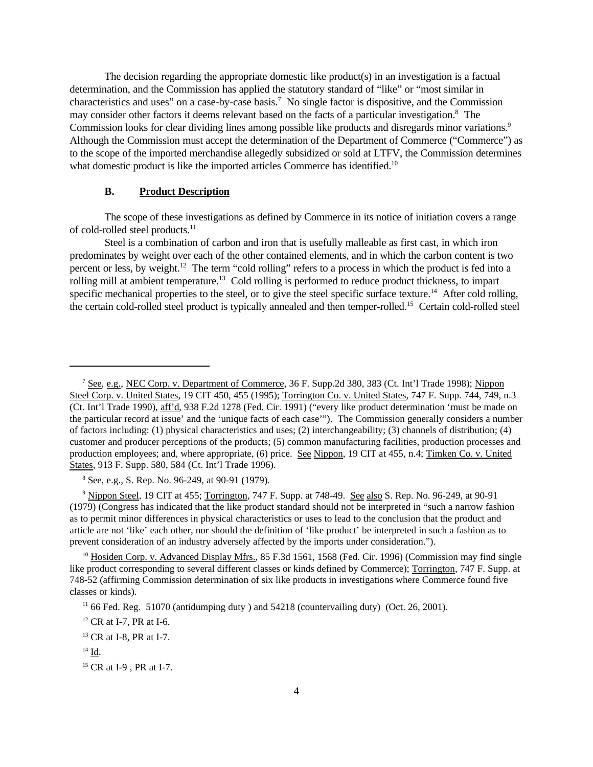The decision regarding the appropriate domestic like product(s) in an investigation is a factual determination, and the Commission has applied the statutory standard of "like" or "most similar in characteristics and uses" on a case-by-case basis.<sup>7</sup> No single factor is dispositive, and the Commission may consider other factors it deems relevant based on the facts of a particular investigation.<sup>8</sup> The Commission looks for clear dividing lines among possible like products and disregards minor variations.<sup>9</sup> Although the Commission must accept the determination of the Department of Commerce ("Commerce") as to the scope of the imported merchandise allegedly subsidized or sold at LTFV, the Commission determines what domestic product is like the imported articles Commerce has identified.<sup>10</sup>

# **B. Product Description**

The scope of these investigations as defined by Commerce in its notice of initiation covers a range of cold-rolled steel products.<sup>11</sup>

Steel is a combination of carbon and iron that is usefully malleable as first cast, in which iron predominates by weight over each of the other contained elements, and in which the carbon content is two percent or less, by weight.<sup>12</sup> The term "cold rolling" refers to a process in which the product is fed into a rolling mill at ambient temperature.<sup>13</sup> Cold rolling is performed to reduce product thickness, to impart specific mechanical properties to the steel, or to give the steel specific surface texture.<sup>14</sup> After cold rolling, the certain cold-rolled steel product is typically annealed and then temper-rolled.15 Certain cold-rolled steel

<sup>8</sup> See, e.g., S. Rep. No. 96-249, at 90-91 (1979).

<sup>9</sup> Nippon Steel, 19 CIT at 455; Torrington, 747 F. Supp. at 748-49. See also S. Rep. No. 96-249, at 90-91 (1979) (Congress has indicated that the like product standard should not be interpreted in "such a narrow fashion as to permit minor differences in physical characteristics or uses to lead to the conclusion that the product and article are not 'like' each other, nor should the definition of 'like product' be interpreted in such a fashion as to prevent consideration of an industry adversely affected by the imports under consideration.").

<sup>&</sup>lt;sup>7</sup> See, e.g., NEC Corp. v. Department of Commerce, 36 F. Supp.2d 380, 383 (Ct. Int'l Trade 1998); Nippon Steel Corp. v. United States, 19 CIT 450, 455 (1995); Torrington Co. v. United States, 747 F. Supp. 744, 749, n.3 (Ct. Int'l Trade 1990), aff'd, 938 F.2d 1278 (Fed. Cir. 1991) ("every like product determination 'must be made on the particular record at issue' and the 'unique facts of each case'"). The Commission generally considers a number of factors including: (1) physical characteristics and uses; (2) interchangeability; (3) channels of distribution; (4) customer and producer perceptions of the products; (5) common manufacturing facilities, production processes and production employees; and, where appropriate, (6) price. See Nippon, 19 CIT at 455, n.4; Timken Co. v. United States, 913 F. Supp. 580, 584 (Ct. Int'l Trade 1996).

<sup>&</sup>lt;sup>10</sup> Hosiden Corp. v. Advanced Display Mfrs., 85 F.3d 1561, 1568 (Fed. Cir. 1996) (Commission may find single like product corresponding to several different classes or kinds defined by Commerce); Torrington, 747 F. Supp. at 748-52 (affirming Commission determination of six like products in investigations where Commerce found five classes or kinds).

 $11$  66 Fed. Reg. 51070 (antidumping duty ) and 54218 (countervailing duty) (Oct. 26, 2001).

<sup>&</sup>lt;sup>12</sup> CR at I-7, PR at I-6.

<sup>&</sup>lt;sup>13</sup> CR at I-8, PR at I-7.

<sup>14</sup> Id.

<sup>&</sup>lt;sup>15</sup> CR at I-9, PR at I-7.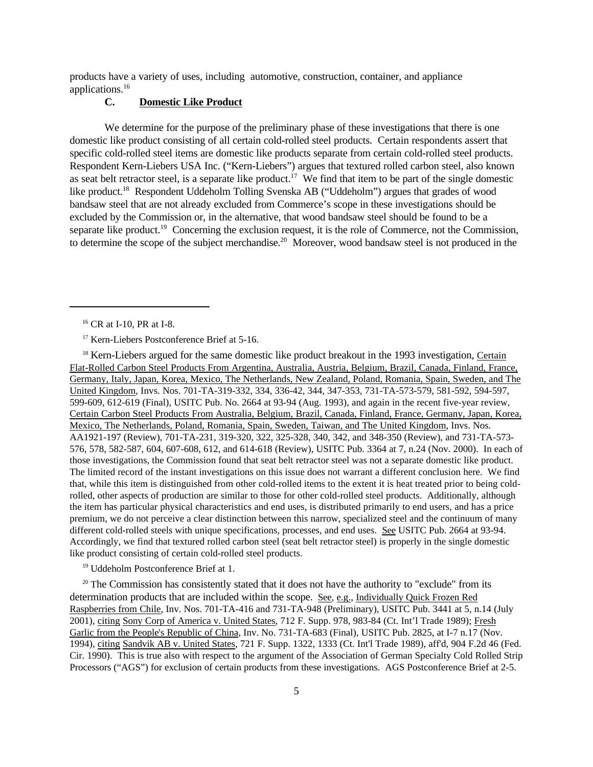products have a variety of uses, including automotive, construction, container, and appliance applications.<sup>16</sup>

# **C. Domestic Like Product**

We determine for the purpose of the preliminary phase of these investigations that there is one domestic like product consisting of all certain cold-rolled steel products. Certain respondents assert that specific cold-rolled steel items are domestic like products separate from certain cold-rolled steel products. Respondent Kern-Liebers USA Inc. ("Kern-Liebers") argues that textured rolled carbon steel, also known as seat belt retractor steel, is a separate like product.<sup>17</sup> We find that item to be part of the single domestic like product.<sup>18</sup> Respondent Uddeholm Tolling Svenska AB ("Uddeholm") argues that grades of wood bandsaw steel that are not already excluded from Commerce's scope in these investigations should be excluded by the Commission or, in the alternative, that wood bandsaw steel should be found to be a separate like product.<sup>19</sup> Concerning the exclusion request, it is the role of Commerce, not the Commission, to determine the scope of the subject merchandise.<sup>20</sup> Moreover, wood bandsaw steel is not produced in the

<sup>18</sup> Kern-Liebers argued for the same domestic like product breakout in the 1993 investigation, Certain Flat-Rolled Carbon Steel Products From Argentina, Australia, Austria, Belgium, Brazil, Canada, Finland, France, Germany, Italy, Japan, Korea, Mexico, The Netherlands, New Zealand, Poland, Romania, Spain, Sweden, and The United Kingdom, Invs. Nos. 701-TA-319-332, 334, 336-42, 344, 347-353, 731-TA-573-579, 581-592, 594-597, 599-609, 612-619 (Final), USITC Pub. No. 2664 at 93-94 (Aug. 1993), and again in the recent five-year review, Certain Carbon Steel Products From Australia, Belgium, Brazil, Canada, Finland, France, Germany, Japan, Korea, Mexico, The Netherlands, Poland, Romania, Spain, Sweden, Taiwan, and The United Kingdom, Invs. Nos. AA1921-197 (Review), 701-TA-231, 319-320, 322, 325-328, 340, 342, and 348-350 (Review), and 731-TA-573- 576, 578, 582-587, 604, 607-608, 612, and 614-618 (Review), USITC Pub. 3364 at 7, n.24 (Nov. 2000). In each of those investigations, the Commission found that seat belt retractor steel was not a separate domestic like product. The limited record of the instant investigations on this issue does not warrant a different conclusion here. We find that, while this item is distinguished from other cold-rolled items to the extent it is heat treated prior to being coldrolled, other aspects of production are similar to those for other cold-rolled steel products. Additionally, although the item has particular physical characteristics and end uses, is distributed primarily to end users, and has a price premium, we do not perceive a clear distinction between this narrow, specialized steel and the continuum of many different cold-rolled steels with unique specifications, processes, and end uses. See USITC Pub. 2664 at 93-94. Accordingly, we find that textured rolled carbon steel (seat belt retractor steel) is properly in the single domestic like product consisting of certain cold-rolled steel products.

<sup>19</sup> Uddeholm Postconference Brief at 1.

 $20$  The Commission has consistently stated that it does not have the authority to "exclude" from its determination products that are included within the scope. See, e.g., Individually Quick Frozen Red Raspberries from Chile, Inv. Nos. 701-TA-416 and 731-TA-948 (Preliminary), USITC Pub. 3441 at 5, n.14 (July 2001), citing Sony Corp of America v. United States, 712 F. Supp. 978, 983-84 (Ct. Int'l Trade 1989); Fresh Garlic from the People's Republic of China, Inv. No. 731-TA-683 (Final), USITC Pub. 2825, at I-7 n.17 (Nov. 1994), citing Sandvik AB v. United States, 721 F. Supp. 1322, 1333 (Ct. Int'l Trade 1989), aff'd, 904 F.2d 46 (Fed. Cir. 1990). This is true also with respect to the argument of the Association of German Specialty Cold Rolled Strip Processors ("AGS") for exclusion of certain products from these investigations. AGS Postconference Brief at 2-5.

<sup>&</sup>lt;sup>16</sup> CR at I-10, PR at I-8.

<sup>&</sup>lt;sup>17</sup> Kern-Liebers Postconference Brief at 5-16.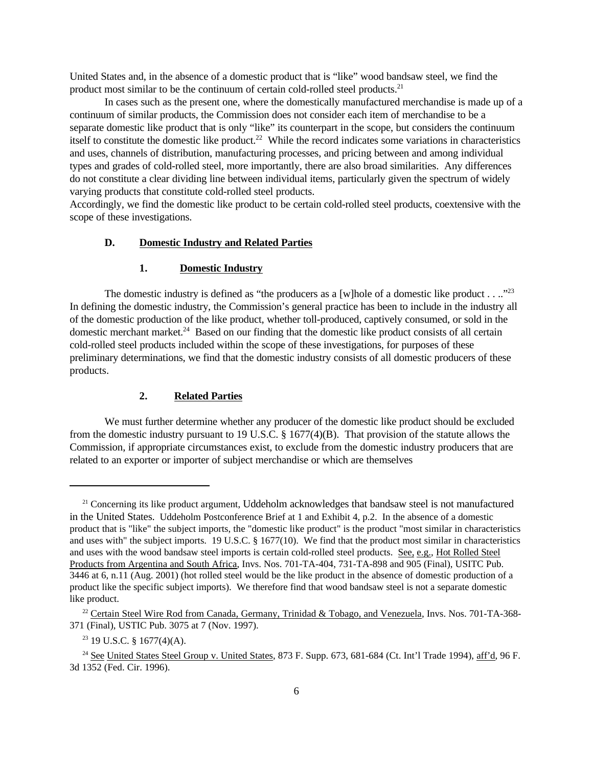United States and, in the absence of a domestic product that is "like" wood bandsaw steel, we find the product most similar to be the continuum of certain cold-rolled steel products.<sup>21</sup>

In cases such as the present one, where the domestically manufactured merchandise is made up of a continuum of similar products, the Commission does not consider each item of merchandise to be a separate domestic like product that is only "like" its counterpart in the scope, but considers the continuum itself to constitute the domestic like product.<sup>22</sup> While the record indicates some variations in characteristics and uses, channels of distribution, manufacturing processes, and pricing between and among individual types and grades of cold-rolled steel, more importantly, there are also broad similarities. Any differences do not constitute a clear dividing line between individual items, particularly given the spectrum of widely varying products that constitute cold-rolled steel products.

Accordingly, we find the domestic like product to be certain cold-rolled steel products, coextensive with the scope of these investigations.

### **D. Domestic Industry and Related Parties**

#### **1. Domestic Industry**

The domestic industry is defined as "the producers as a [w]hole of a domestic like product . . .."<sup>23</sup> In defining the domestic industry, the Commission's general practice has been to include in the industry all of the domestic production of the like product, whether toll-produced, captively consumed, or sold in the domestic merchant market.<sup>24</sup> Based on our finding that the domestic like product consists of all certain cold-rolled steel products included within the scope of these investigations, for purposes of these preliminary determinations, we find that the domestic industry consists of all domestic producers of these products.

# **2. Related Parties**

We must further determine whether any producer of the domestic like product should be excluded from the domestic industry pursuant to 19 U.S.C. § 1677(4)(B). That provision of the statute allows the Commission, if appropriate circumstances exist, to exclude from the domestic industry producers that are related to an exporter or importer of subject merchandise or which are themselves

<sup>&</sup>lt;sup>21</sup> Concerning its like product argument, Uddeholm acknowledges that bandsaw steel is not manufactured in the United States. Uddeholm Postconference Brief at 1 and Exhibit 4, p.2. In the absence of a domestic product that is "like" the subject imports, the "domestic like product" is the product "most similar in characteristics and uses with" the subject imports. 19 U.S.C. § 1677(10). We find that the product most similar in characteristics and uses with the wood bandsaw steel imports is certain cold-rolled steel products. See, e.g., Hot Rolled Steel Products from Argentina and South Africa, Invs. Nos. 701-TA-404, 731-TA-898 and 905 (Final), USITC Pub. 3446 at 6, n.11 (Aug. 2001) (hot rolled steel would be the like product in the absence of domestic production of a product like the specific subject imports). We therefore find that wood bandsaw steel is not a separate domestic like product.

<sup>&</sup>lt;sup>22</sup> Certain Steel Wire Rod from Canada, Germany, Trinidad & Tobago, and Venezuela, Invs. Nos. 701-TA-368-371 (Final), USTIC Pub. 3075 at 7 (Nov. 1997).

 $23$  19 U.S.C. § 1677(4)(A).

<sup>&</sup>lt;sup>24</sup> See United States Steel Group v. United States, 873 F. Supp. 673, 681-684 (Ct. Int'l Trade 1994), aff'd, 96 F. 3d 1352 (Fed. Cir. 1996).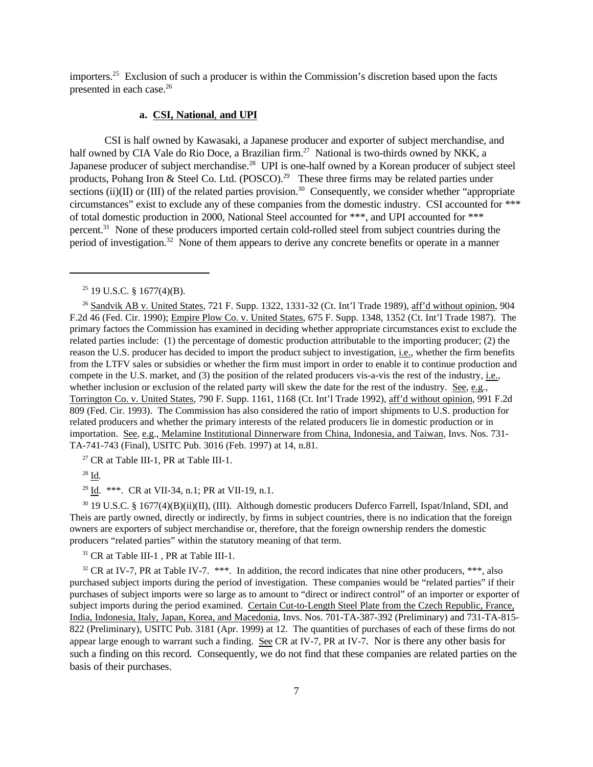importers.<sup>25</sup> Exclusion of such a producer is within the Commission's discretion based upon the facts presented in each case.<sup>26</sup>

#### **a. CSI, National**, **and UPI**

CSI is half owned by Kawasaki, a Japanese producer and exporter of subject merchandise, and half owned by CIA Vale do Rio Doce, a Brazilian firm.<sup>27</sup> National is two-thirds owned by NKK, a Japanese producer of subject merchandise.<sup>28</sup> UPI is one-half owned by a Korean producer of subject steel products, Pohang Iron & Steel Co. Ltd. (POSCO).<sup>29</sup> These three firms may be related parties under sections (ii)(II) or (III) of the related parties provision.<sup>30</sup> Consequently, we consider whether "appropriate" circumstances" exist to exclude any of these companies from the domestic industry. CSI accounted for \*\*\* of total domestic production in 2000, National Steel accounted for \*\*\*, and UPI accounted for \*\*\* percent.<sup>31</sup> None of these producers imported certain cold-rolled steel from subject countries during the period of investigation.32 None of them appears to derive any concrete benefits or operate in a manner

 $27$  CR at Table III-1, PR at Table III-1.

<sup>28</sup> Id.

<sup>29</sup> Id. \*\*\*. CR at VII-34, n.1; PR at VII-19, n.1.

<sup>30</sup> 19 U.S.C. § 1677(4)(B)(ii)(II), (III). Although domestic producers Duferco Farrell, Ispat/Inland, SDI, and Theis are partly owned, directly or indirectly, by firms in subject countries, there is no indication that the foreign owners are exporters of subject merchandise or, therefore, that the foreign ownership renders the domestic producers "related parties" within the statutory meaning of that term.

<sup>31</sup> CR at Table III-1 , PR at Table III-1.

<sup>32</sup> CR at IV-7, PR at Table IV-7. \*\*\*. In addition, the record indicates that nine other producers, \*\*\*, also purchased subject imports during the period of investigation. These companies would be "related parties" if their purchases of subject imports were so large as to amount to "direct or indirect control" of an importer or exporter of subject imports during the period examined. Certain Cut-to-Length Steel Plate from the Czech Republic, France, India, Indonesia, Italy, Japan, Korea, and Macedonia, Invs. Nos. 701-TA-387-392 (Preliminary) and 731-TA-815- 822 (Preliminary), USITC Pub. 3181 (Apr. 1999) at 12. The quantities of purchases of each of these firms do not appear large enough to warrant such a finding. See CR at IV-7, PR at IV-7. Nor is there any other basis for such a finding on this record. Consequently, we do not find that these companies are related parties on the basis of their purchases.

 $25$  19 U.S.C. § 1677(4)(B).

<sup>&</sup>lt;sup>26</sup> Sandvik AB v. United States, 721 F. Supp. 1322, 1331-32 (Ct. Int'l Trade 1989), aff'd without opinion, 904 F.2d 46 (Fed. Cir. 1990); Empire Plow Co. v. United States, 675 F. Supp. 1348, 1352 (Ct. Int'l Trade 1987). The primary factors the Commission has examined in deciding whether appropriate circumstances exist to exclude the related parties include: (1) the percentage of domestic production attributable to the importing producer; (2) the reason the U.S. producer has decided to import the product subject to investigation, i.e., whether the firm benefits from the LTFV sales or subsidies or whether the firm must import in order to enable it to continue production and compete in the U.S. market, and (3) the position of the related producers vis-a-vis the rest of the industry, i.e., whether inclusion or exclusion of the related party will skew the date for the rest of the industry. See, e.g., Torrington Co. v. United States, 790 F. Supp. 1161, 1168 (Ct. Int'l Trade 1992), aff'd without opinion, 991 F.2d 809 (Fed. Cir. 1993). The Commission has also considered the ratio of import shipments to U.S. production for related producers and whether the primary interests of the related producers lie in domestic production or in importation. See, e.g., Melamine Institutional Dinnerware from China, Indonesia, and Taiwan, Invs. Nos. 731- TA-741-743 (Final), USITC Pub. 3016 (Feb. 1997) at 14, n.81.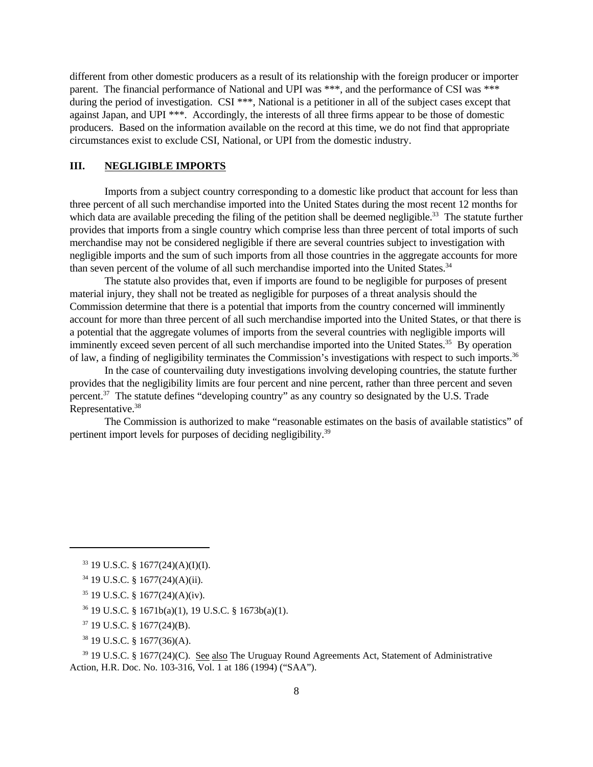different from other domestic producers as a result of its relationship with the foreign producer or importer parent. The financial performance of National and UPI was \*\*\*, and the performance of CSI was \*\*\* during the period of investigation. CSI \*\*\*, National is a petitioner in all of the subject cases except that against Japan, and UPI \*\*\*. Accordingly, the interests of all three firms appear to be those of domestic producers. Based on the information available on the record at this time, we do not find that appropriate circumstances exist to exclude CSI, National, or UPI from the domestic industry.

# **III. NEGLIGIBLE IMPORTS**

Imports from a subject country corresponding to a domestic like product that account for less than three percent of all such merchandise imported into the United States during the most recent 12 months for which data are available preceding the filing of the petition shall be deemed negligible.<sup>33</sup> The statute further provides that imports from a single country which comprise less than three percent of total imports of such merchandise may not be considered negligible if there are several countries subject to investigation with negligible imports and the sum of such imports from all those countries in the aggregate accounts for more than seven percent of the volume of all such merchandise imported into the United States.<sup>34</sup>

The statute also provides that, even if imports are found to be negligible for purposes of present material injury, they shall not be treated as negligible for purposes of a threat analysis should the Commission determine that there is a potential that imports from the country concerned will imminently account for more than three percent of all such merchandise imported into the United States, or that there is a potential that the aggregate volumes of imports from the several countries with negligible imports will imminently exceed seven percent of all such merchandise imported into the United States.<sup>35</sup> By operation of law, a finding of negligibility terminates the Commission's investigations with respect to such imports.<sup>36</sup>

In the case of countervailing duty investigations involving developing countries, the statute further provides that the negligibility limits are four percent and nine percent, rather than three percent and seven percent.<sup>37</sup> The statute defines "developing country" as any country so designated by the U.S. Trade Representative.<sup>38</sup>

The Commission is authorized to make "reasonable estimates on the basis of available statistics" of pertinent import levels for purposes of deciding negligibility.39

<sup>38</sup> 19 U.S.C. § 1677(36)(A).

<sup>39</sup> 19 U.S.C. § 1677(24)(C). See also The Uruguay Round Agreements Act, Statement of Administrative Action, H.R. Doc. No. 103-316, Vol. 1 at 186 (1994) ("SAA").

<sup>33</sup> 19 U.S.C. § 1677(24)(A)(I)(I).

<sup>34</sup> 19 U.S.C. § 1677(24)(A)(ii).

<sup>35</sup> 19 U.S.C. § 1677(24)(A)(iv).

<sup>36</sup> 19 U.S.C. § 1671b(a)(1), 19 U.S.C. § 1673b(a)(1).

<sup>37</sup> 19 U.S.C. § 1677(24)(B).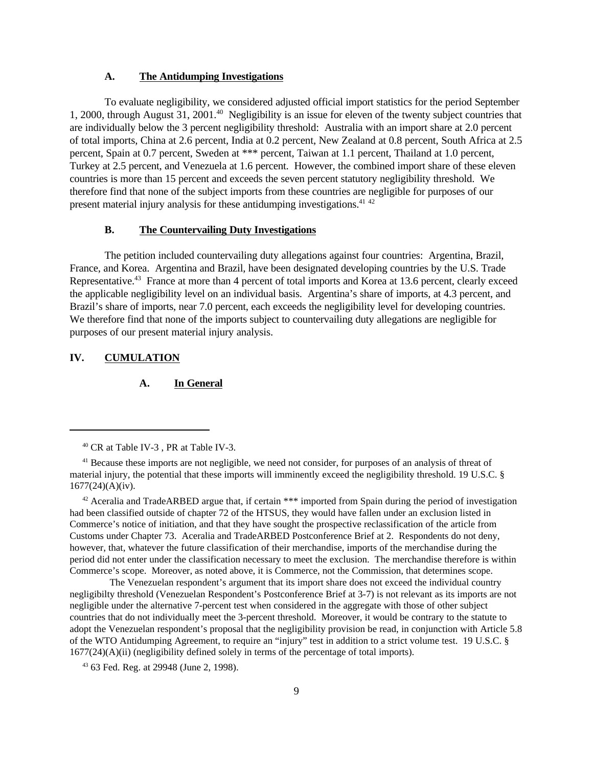#### **A. The Antidumping Investigations**

To evaluate negligibility, we considered adjusted official import statistics for the period September 1, 2000, through August 31, 2001.<sup>40</sup> Negligibility is an issue for eleven of the twenty subject countries that are individually below the 3 percent negligibility threshold: Australia with an import share at 2.0 percent of total imports, China at 2.6 percent, India at 0.2 percent, New Zealand at 0.8 percent, South Africa at 2.5 percent, Spain at 0.7 percent, Sweden at \*\*\* percent, Taiwan at 1.1 percent, Thailand at 1.0 percent, Turkey at 2.5 percent, and Venezuela at 1.6 percent. However, the combined import share of these eleven countries is more than 15 percent and exceeds the seven percent statutory negligibility threshold. We therefore find that none of the subject imports from these countries are negligible for purposes of our present material injury analysis for these antidumping investigations.  $41\frac{42}{5}$ 

# **B. The Countervailing Duty Investigations**

The petition included countervailing duty allegations against four countries: Argentina, Brazil, France, and Korea. Argentina and Brazil, have been designated developing countries by the U.S. Trade Representative.<sup>43</sup> France at more than 4 percent of total imports and Korea at 13.6 percent, clearly exceed the applicable negligibility level on an individual basis. Argentina's share of imports, at 4.3 percent, and Brazil's share of imports, near 7.0 percent, each exceeds the negligibility level for developing countries. We therefore find that none of the imports subject to countervailing duty allegations are negligible for purposes of our present material injury analysis.

# **IV. CUMULATION**

# **A. In General**

<sup>42</sup> Aceralia and TradeARBED argue that, if certain \*\*\* imported from Spain during the period of investigation had been classified outside of chapter 72 of the HTSUS, they would have fallen under an exclusion listed in Commerce's notice of initiation, and that they have sought the prospective reclassification of the article from Customs under Chapter 73. Aceralia and TradeARBED Postconference Brief at 2. Respondents do not deny, however, that, whatever the future classification of their merchandise, imports of the merchandise during the period did not enter under the classification necessary to meet the exclusion. The merchandise therefore is within Commerce's scope. Moreover, as noted above, it is Commerce, not the Commission, that determines scope.

 The Venezuelan respondent's argument that its import share does not exceed the individual country negligibilty threshold (Venezuelan Respondent's Postconference Brief at 3-7) is not relevant as its imports are not negligible under the alternative 7-percent test when considered in the aggregate with those of other subject countries that do not individually meet the 3-percent threshold. Moreover, it would be contrary to the statute to adopt the Venezuelan respondent's proposal that the negligibility provision be read, in conjunction with Article 5.8 of the WTO Antidumping Agreement, to require an "injury" test in addition to a strict volume test. 19 U.S.C. §  $1677(24)(A)(ii)$  (negligibility defined solely in terms of the percentage of total imports).

<sup>43</sup> 63 Fed. Reg. at 29948 (June 2, 1998).

<sup>40</sup> CR at Table IV-3 , PR at Table IV-3.

<sup>&</sup>lt;sup>41</sup> Because these imports are not negligible, we need not consider, for purposes of an analysis of threat of material injury, the potential that these imports will imminently exceed the negligibility threshold. 19 U.S.C. § 1677(24)(A)(iv).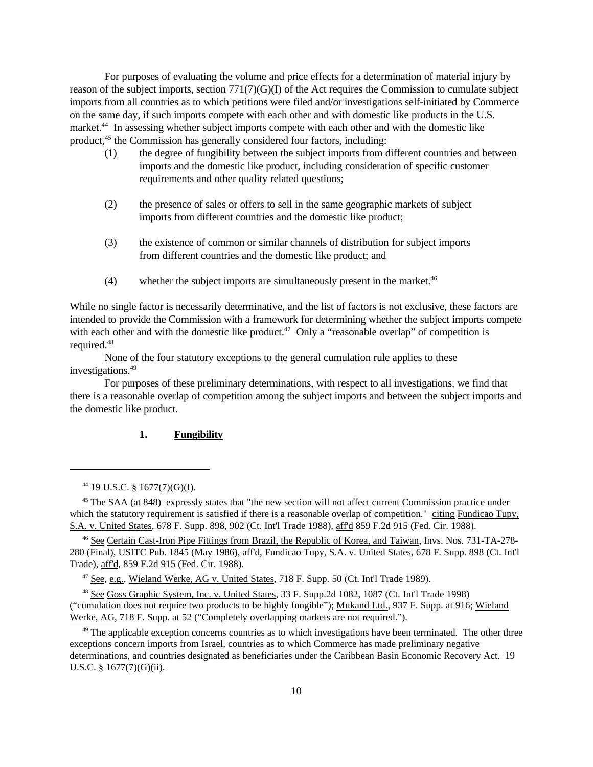For purposes of evaluating the volume and price effects for a determination of material injury by reason of the subject imports, section  $771(7)(G)(I)$  of the Act requires the Commission to cumulate subject imports from all countries as to which petitions were filed and/or investigations self-initiated by Commerce on the same day, if such imports compete with each other and with domestic like products in the U.S. market.<sup>44</sup> In assessing whether subject imports compete with each other and with the domestic like product,<sup>45</sup> the Commission has generally considered four factors, including:

- (1) the degree of fungibility between the subject imports from different countries and between imports and the domestic like product, including consideration of specific customer requirements and other quality related questions;
- (2) the presence of sales or offers to sell in the same geographic markets of subject imports from different countries and the domestic like product;
- (3) the existence of common or similar channels of distribution for subject imports from different countries and the domestic like product; and
- (4) whether the subject imports are simultaneously present in the market.<sup>46</sup>

While no single factor is necessarily determinative, and the list of factors is not exclusive, these factors are intended to provide the Commission with a framework for determining whether the subject imports compete with each other and with the domestic like product.<sup>47</sup> Only a "reasonable overlap" of competition is required.<sup>48</sup>

None of the four statutory exceptions to the general cumulation rule applies to these investigations.<sup>49</sup>

 For purposes of these preliminary determinations, with respect to all investigations, we find that there is a reasonable overlap of competition among the subject imports and between the subject imports and the domestic like product.

### **1. Fungibility**

<sup>46</sup> See Certain Cast-Iron Pipe Fittings from Brazil, the Republic of Korea, and Taiwan, Invs. Nos. 731-TA-278- 280 (Final), USITC Pub. 1845 (May 1986), aff'd, Fundicao Tupy, S.A. v. United States, 678 F. Supp. 898 (Ct. Int'l Trade), aff'd, 859 F.2d 915 (Fed. Cir. 1988).

<sup>47</sup> See, e.g., Wieland Werke, AG v. United States, 718 F. Supp. 50 (Ct. Int'l Trade 1989).

<sup>48</sup> See Goss Graphic System, Inc. v. United States, 33 F. Supp.2d 1082, 1087 (Ct. Int'l Trade 1998) ("cumulation does not require two products to be highly fungible"); Mukand Ltd., 937 F. Supp. at 916; Wieland Werke, AG, 718 F. Supp. at 52 ("Completely overlapping markets are not required.").

 $49$  The applicable exception concerns countries as to which investigations have been terminated. The other three exceptions concern imports from Israel, countries as to which Commerce has made preliminary negative determinations, and countries designated as beneficiaries under the Caribbean Basin Economic Recovery Act. 19 U.S.C. § 1677(7)(G)(ii).

<sup>44</sup> 19 U.S.C. § 1677(7)(G)(I).

<sup>&</sup>lt;sup>45</sup> The SAA (at 848) expressly states that "the new section will not affect current Commission practice under which the statutory requirement is satisfied if there is a reasonable overlap of competition." citing Fundicao Tupy, S.A. v. United States, 678 F. Supp. 898, 902 (Ct. Int'l Trade 1988), aff'd 859 F.2d 915 (Fed. Cir. 1988).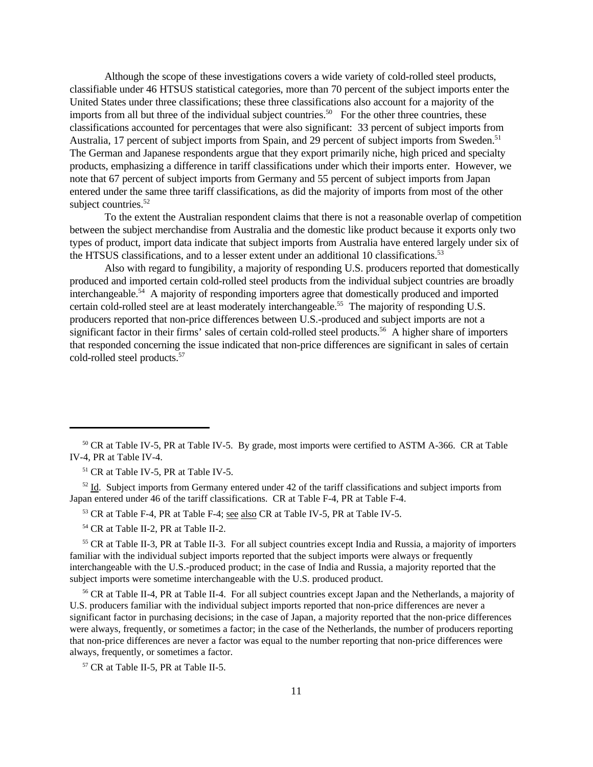Although the scope of these investigations covers a wide variety of cold-rolled steel products, classifiable under 46 HTSUS statistical categories, more than 70 percent of the subject imports enter the United States under three classifications; these three classifications also account for a majority of the imports from all but three of the individual subject countries.<sup>50</sup> For the other three countries, these classifications accounted for percentages that were also significant: 33 percent of subject imports from Australia, 17 percent of subject imports from Spain, and 29 percent of subject imports from Sweden.<sup>51</sup> The German and Japanese respondents argue that they export primarily niche, high priced and specialty products, emphasizing a difference in tariff classifications under which their imports enter. However, we note that 67 percent of subject imports from Germany and 55 percent of subject imports from Japan entered under the same three tariff classifications, as did the majority of imports from most of the other subject countries.<sup>52</sup>

To the extent the Australian respondent claims that there is not a reasonable overlap of competition between the subject merchandise from Australia and the domestic like product because it exports only two types of product, import data indicate that subject imports from Australia have entered largely under six of the HTSUS classifications, and to a lesser extent under an additional 10 classifications.<sup>53</sup>

Also with regard to fungibility, a majority of responding U.S. producers reported that domestically produced and imported certain cold-rolled steel products from the individual subject countries are broadly interchangeable. $54$  A majority of responding importers agree that domestically produced and imported certain cold-rolled steel are at least moderately interchangeable.<sup>55</sup> The majority of responding U.S. producers reported that non-price differences between U.S.-produced and subject imports are not a significant factor in their firms' sales of certain cold-rolled steel products.<sup>56</sup> A higher share of importers that responded concerning the issue indicated that non-price differences are significant in sales of certain cold-rolled steel products.57

<sup>51</sup> CR at Table IV-5, PR at Table IV-5.

 $52$  Id. Subject imports from Germany entered under 42 of the tariff classifications and subject imports from Japan entered under 46 of the tariff classifications. CR at Table F-4, PR at Table F-4.

<sup>53</sup> CR at Table F-4, PR at Table F-4; see also CR at Table IV-5, PR at Table IV-5.

<sup>54</sup> CR at Table II-2, PR at Table II-2.

<sup>55</sup> CR at Table II-3, PR at Table II-3. For all subject countries except India and Russia, a majority of importers familiar with the individual subject imports reported that the subject imports were always or frequently interchangeable with the U.S.-produced product; in the case of India and Russia, a majority reported that the subject imports were sometime interchangeable with the U.S. produced product.

<sup>56</sup> CR at Table II-4, PR at Table II-4. For all subject countries except Japan and the Netherlands, a majority of U.S. producers familiar with the individual subject imports reported that non-price differences are never a significant factor in purchasing decisions; in the case of Japan, a majority reported that the non-price differences were always, frequently, or sometimes a factor; in the case of the Netherlands, the number of producers reporting that non-price differences are never a factor was equal to the number reporting that non-price differences were always, frequently, or sometimes a factor.

<sup>57</sup> CR at Table II-5, PR at Table II-5.

<sup>50</sup> CR at Table IV-5, PR at Table IV-5. By grade, most imports were certified to ASTM A-366. CR at Table IV-4, PR at Table IV-4.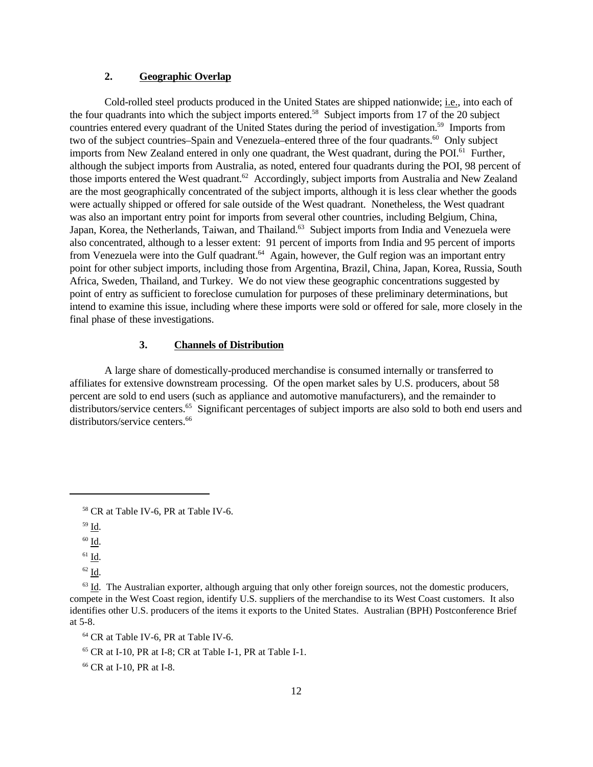# **2. Geographic Overlap**

Cold-rolled steel products produced in the United States are shipped nationwide; i.e., into each of the four quadrants into which the subject imports entered.<sup>58</sup> Subject imports from 17 of the 20 subject countries entered every quadrant of the United States during the period of investigation.<sup>59</sup> Imports from two of the subject countries–Spain and Venezuela–entered three of the four quadrants.<sup>60</sup> Only subject imports from New Zealand entered in only one quadrant, the West quadrant, during the POI.<sup>61</sup> Further, although the subject imports from Australia, as noted, entered four quadrants during the POI, 98 percent of those imports entered the West quadrant.<sup>62</sup> Accordingly, subject imports from Australia and New Zealand are the most geographically concentrated of the subject imports, although it is less clear whether the goods were actually shipped or offered for sale outside of the West quadrant. Nonetheless, the West quadrant was also an important entry point for imports from several other countries, including Belgium, China, Japan, Korea, the Netherlands, Taiwan, and Thailand.<sup>63</sup> Subject imports from India and Venezuela were also concentrated, although to a lesser extent: 91 percent of imports from India and 95 percent of imports from Venezuela were into the Gulf quadrant.<sup>64</sup> Again, however, the Gulf region was an important entry point for other subject imports, including those from Argentina, Brazil, China, Japan, Korea, Russia, South Africa, Sweden, Thailand, and Turkey. We do not view these geographic concentrations suggested by point of entry as sufficient to foreclose cumulation for purposes of these preliminary determinations, but intend to examine this issue, including where these imports were sold or offered for sale, more closely in the final phase of these investigations.

#### **3. Channels of Distribution**

A large share of domestically-produced merchandise is consumed internally or transferred to affiliates for extensive downstream processing. Of the open market sales by U.S. producers, about 58 percent are sold to end users (such as appliance and automotive manufacturers), and the remainder to distributors/service centers.<sup>65</sup> Significant percentages of subject imports are also sold to both end users and distributors/service centers.<sup>66</sup>

<sup>58</sup> CR at Table IV-6, PR at Table IV-6.

 $^{59}$  Id.

 $60 \underline{\mathsf{Id}}$ .

 $^{61}$  Id.

<sup>62</sup> Id.

 $63$  Id. The Australian exporter, although arguing that only other foreign sources, not the domestic producers, compete in the West Coast region, identify U.S. suppliers of the merchandise to its West Coast customers. It also identifies other U.S. producers of the items it exports to the United States. Australian (BPH) Postconference Brief at 5-8.

<sup>64</sup> CR at Table IV-6, PR at Table IV-6.

 $65$  CR at I-10, PR at I-8; CR at Table I-1, PR at Table I-1.

<sup>66</sup> CR at I-10, PR at I-8.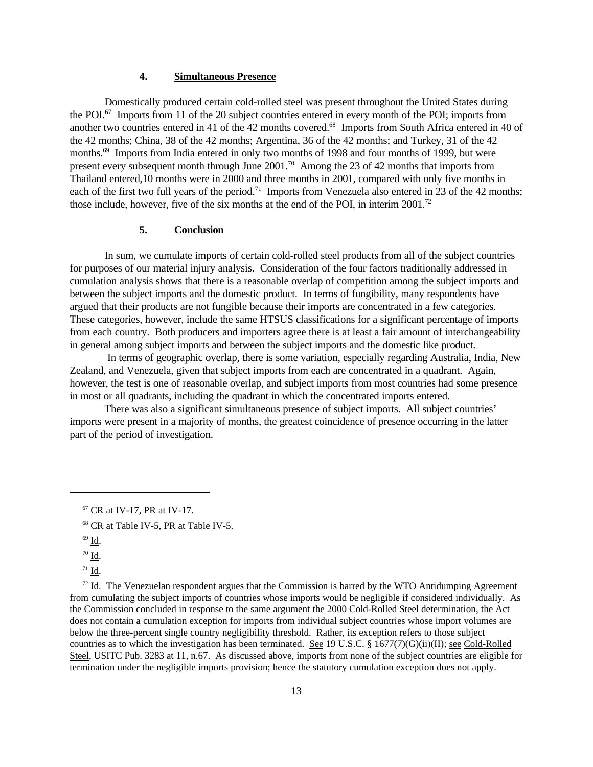# **4. Simultaneous Presence**

Domestically produced certain cold-rolled steel was present throughout the United States during the POI. $^{67}$  Imports from 11 of the 20 subject countries entered in every month of the POI; imports from another two countries entered in 41 of the 42 months covered.<sup>68</sup> Imports from South Africa entered in 40 of the 42 months; China, 38 of the 42 months; Argentina, 36 of the 42 months; and Turkey, 31 of the 42 months.<sup>69</sup> Imports from India entered in only two months of 1998 and four months of 1999, but were present every subsequent month through June  $2001$ .<sup>70</sup> Among the 23 of 42 months that imports from Thailand entered,10 months were in 2000 and three months in 2001, compared with only five months in each of the first two full years of the period.<sup>71</sup> Imports from Venezuela also entered in 23 of the 42 months: those include, however, five of the six months at the end of the POI, in interim  $2001$ .<sup>72</sup>

# **5. Conclusion**

In sum, we cumulate imports of certain cold-rolled steel products from all of the subject countries for purposes of our material injury analysis. Consideration of the four factors traditionally addressed in cumulation analysis shows that there is a reasonable overlap of competition among the subject imports and between the subject imports and the domestic product. In terms of fungibility, many respondents have argued that their products are not fungible because their imports are concentrated in a few categories. These categories, however, include the same HTSUS classifications for a significant percentage of imports from each country. Both producers and importers agree there is at least a fair amount of interchangeability in general among subject imports and between the subject imports and the domestic like product.

 In terms of geographic overlap, there is some variation, especially regarding Australia, India, New Zealand, and Venezuela, given that subject imports from each are concentrated in a quadrant. Again, however, the test is one of reasonable overlap, and subject imports from most countries had some presence in most or all quadrants, including the quadrant in which the concentrated imports entered.

There was also a significant simultaneous presence of subject imports. All subject countries' imports were present in a majority of months, the greatest coincidence of presence occurring in the latter part of the period of investigation.

 $72$  Id. The Venezuelan respondent argues that the Commission is barred by the WTO Antidumping Agreement from cumulating the subject imports of countries whose imports would be negligible if considered individually. As the Commission concluded in response to the same argument the 2000 Cold-Rolled Steel determination, the Act does not contain a cumulation exception for imports from individual subject countries whose import volumes are below the three-percent single country negligibility threshold. Rather, its exception refers to those subject countries as to which the investigation has been terminated. See 19 U.S.C. § 1677(7)(G)(ii)(II); see Cold-Rolled Steel, USITC Pub. 3283 at 11, n.67. As discussed above, imports from none of the subject countries are eligible for termination under the negligible imports provision; hence the statutory cumulation exception does not apply.

<sup>67</sup> CR at IV-17, PR at IV-17.

<sup>68</sup> CR at Table IV-5, PR at Table IV-5.

 $69$  Id.

 $70$  Id.  $\,$ 

 $71$  Id.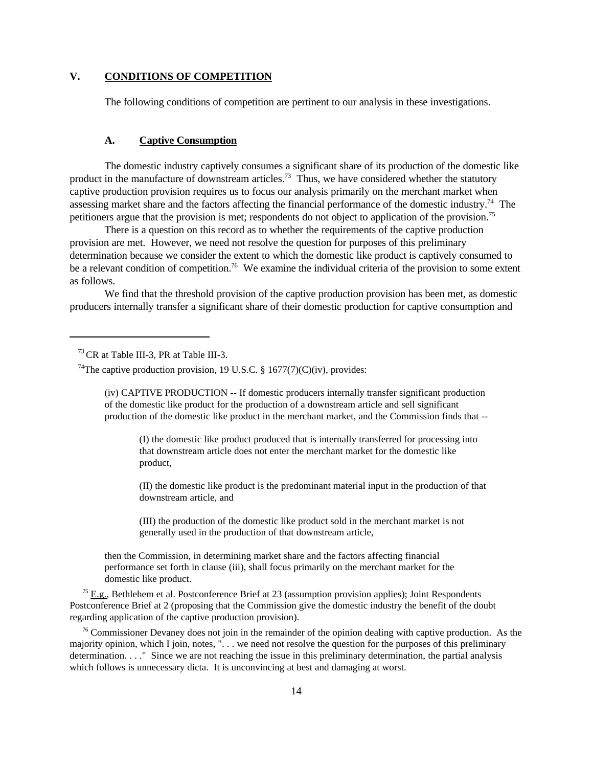# **V. CONDITIONS OF COMPETITION**

The following conditions of competition are pertinent to our analysis in these investigations.

#### **A. Captive Consumption**

The domestic industry captively consumes a significant share of its production of the domestic like product in the manufacture of downstream articles.<sup>73</sup> Thus, we have considered whether the statutory captive production provision requires us to focus our analysis primarily on the merchant market when assessing market share and the factors affecting the financial performance of the domestic industry.<sup>74</sup> The petitioners argue that the provision is met; respondents do not object to application of the provision.<sup>75</sup>

There is a question on this record as to whether the requirements of the captive production provision are met. However, we need not resolve the question for purposes of this preliminary determination because we consider the extent to which the domestic like product is captively consumed to be a relevant condition of competition.<sup>76</sup> We examine the individual criteria of the provision to some extent as follows.

We find that the threshold provision of the captive production provision has been met, as domestic producers internally transfer a significant share of their domestic production for captive consumption and

(iv) CAPTIVE PRODUCTION -- If domestic producers internally transfer significant production of the domestic like product for the production of a downstream article and sell significant production of the domestic like product in the merchant market, and the Commission finds that --

(I) the domestic like product produced that is internally transferred for processing into that downstream article does not enter the merchant market for the domestic like product,

(II) the domestic like product is the predominant material input in the production of that downstream article, and

(III) the production of the domestic like product sold in the merchant market is not generally used in the production of that downstream article,

then the Commission, in determining market share and the factors affecting financial performance set forth in clause (iii), shall focus primarily on the merchant market for the domestic like product.

 $75$  E.g., Bethlehem et al. Postconference Brief at 23 (assumption provision applies); Joint Respondents Postconference Brief at 2 (proposing that the Commission give the domestic industry the benefit of the doubt regarding application of the captive production provision).

 $76$  Commissioner Devaney does not join in the remainder of the opinion dealing with captive production. As the majority opinion, which I join, notes, ". . . we need not resolve the question for the purposes of this preliminary determination. . . ." Since we are not reaching the issue in this preliminary determination, the partial analysis which follows is unnecessary dicta. It is unconvincing at best and damaging at worst.

<sup>73</sup>CR at Table III-3, PR at Table III-3.

<sup>&</sup>lt;sup>74</sup>The captive production provision, 19 U.S.C. § 1677(7)(C)(iv), provides: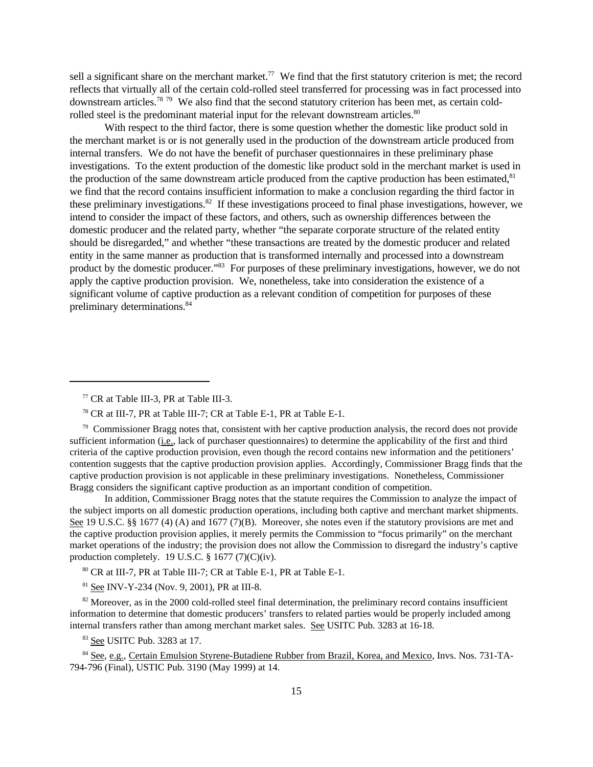sell a significant share on the merchant market.<sup>77</sup> We find that the first statutory criterion is met; the record reflects that virtually all of the certain cold-rolled steel transferred for processing was in fact processed into downstream articles.<sup>78</sup> <sup>79</sup> We also find that the second statutory criterion has been met, as certain coldrolled steel is the predominant material input for the relevant downstream articles.<sup>80</sup>

With respect to the third factor, there is some question whether the domestic like product sold in the merchant market is or is not generally used in the production of the downstream article produced from internal transfers. We do not have the benefit of purchaser questionnaires in these preliminary phase investigations. To the extent production of the domestic like product sold in the merchant market is used in the production of the same downstream article produced from the captive production has been estimated.<sup>81</sup> we find that the record contains insufficient information to make a conclusion regarding the third factor in these preliminary investigations.<sup>82</sup> If these investigations proceed to final phase investigations, however, we intend to consider the impact of these factors, and others, such as ownership differences between the domestic producer and the related party, whether "the separate corporate structure of the related entity should be disregarded," and whether "these transactions are treated by the domestic producer and related entity in the same manner as production that is transformed internally and processed into a downstream product by the domestic producer."<sup>83</sup> For purposes of these preliminary investigations, however, we do not apply the captive production provision. We, nonetheless, take into consideration the existence of a significant volume of captive production as a relevant condition of competition for purposes of these preliminary determinations.<sup>84</sup>

 $79$  Commissioner Bragg notes that, consistent with her captive production analysis, the record does not provide sufficient information (i.e., lack of purchaser questionnaires) to determine the applicability of the first and third criteria of the captive production provision, even though the record contains new information and the petitioners' contention suggests that the captive production provision applies. Accordingly, Commissioner Bragg finds that the captive production provision is not applicable in these preliminary investigations. Nonetheless, Commissioner Bragg considers the significant captive production as an important condition of competition.

In addition, Commissioner Bragg notes that the statute requires the Commission to analyze the impact of the subject imports on all domestic production operations, including both captive and merchant market shipments. See 19 U.S.C. §§ 1677 (4) (A) and 1677 (7)(B). Moreover, she notes even if the statutory provisions are met and the captive production provision applies, it merely permits the Commission to "focus primarily" on the merchant market operations of the industry; the provision does not allow the Commission to disregard the industry's captive production completely. 19 U.S.C. § 1677 (7)(C)(iv).

<sup>80</sup> CR at III-7, PR at Table III-7; CR at Table E-1, PR at Table E-1.

<sup>81</sup> See INV-Y-234 (Nov. 9, 2001), PR at III-8.

<sup>82</sup> Moreover, as in the 2000 cold-rolled steel final determination, the preliminary record contains insufficient information to determine that domestic producers' transfers to related parties would be properly included among internal transfers rather than among merchant market sales. See USITC Pub. 3283 at 16-18.

<sup>83</sup> See USITC Pub. 3283 at 17.

<sup>84</sup> See, e.g., Certain Emulsion Styrene-Butadiene Rubber from Brazil, Korea, and Mexico, Invs. Nos. 731-TA-794-796 (Final), USTIC Pub. 3190 (May 1999) at 14.

<sup>77</sup> CR at Table III-3, PR at Table III-3.

<sup>78</sup> CR at III-7, PR at Table III-7; CR at Table E-1, PR at Table E-1.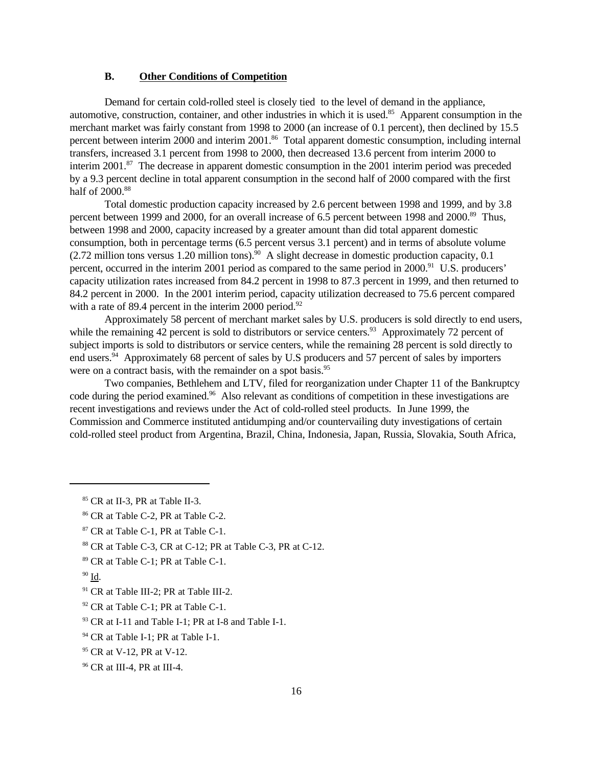# **B. Other Conditions of Competition**

Demand for certain cold-rolled steel is closely tied to the level of demand in the appliance, automotive, construction, container, and other industries in which it is used.<sup>85</sup> Apparent consumption in the merchant market was fairly constant from 1998 to 2000 (an increase of 0.1 percent), then declined by 15.5 percent between interim 2000 and interim 2001.<sup>86</sup> Total apparent domestic consumption, including internal transfers, increased 3.1 percent from 1998 to 2000, then decreased 13.6 percent from interim 2000 to interim 2001.<sup>87</sup> The decrease in apparent domestic consumption in the 2001 interim period was preceded by a 9.3 percent decline in total apparent consumption in the second half of 2000 compared with the first half of 2000.<sup>88</sup>

Total domestic production capacity increased by 2.6 percent between 1998 and 1999, and by 3.8 percent between 1999 and 2000, for an overall increase of 6.5 percent between 1998 and 2000.<sup>89</sup> Thus, between 1998 and 2000, capacity increased by a greater amount than did total apparent domestic consumption, both in percentage terms (6.5 percent versus 3.1 percent) and in terms of absolute volume  $(2.72 \text{ million tons versus } 1.20 \text{ million tons})$ .<sup>90</sup> A slight decrease in domestic production capacity, 0.1 percent, occurred in the interim 2001 period as compared to the same period in 2000.<sup>91</sup> U.S. producers' capacity utilization rates increased from 84.2 percent in 1998 to 87.3 percent in 1999, and then returned to 84.2 percent in 2000. In the 2001 interim period, capacity utilization decreased to 75.6 percent compared with a rate of 89.4 percent in the interim 2000 period. $92$ 

Approximately 58 percent of merchant market sales by U.S. producers is sold directly to end users, while the remaining 42 percent is sold to distributors or service centers.<sup>93</sup> Approximately 72 percent of subject imports is sold to distributors or service centers, while the remaining 28 percent is sold directly to end users.<sup>94</sup> Approximately 68 percent of sales by U.S producers and 57 percent of sales by importers were on a contract basis, with the remainder on a spot basis.<sup>95</sup>

Two companies, Bethlehem and LTV, filed for reorganization under Chapter 11 of the Bankruptcy code during the period examined.<sup>96</sup> Also relevant as conditions of competition in these investigations are recent investigations and reviews under the Act of cold-rolled steel products. In June 1999, the Commission and Commerce instituted antidumping and/or countervailing duty investigations of certain cold-rolled steel product from Argentina, Brazil, China, Indonesia, Japan, Russia, Slovakia, South Africa,

<sup>92</sup> CR at Table C-1; PR at Table C-1.

<sup>94</sup> CR at Table I-1; PR at Table I-1.

<sup>85</sup> CR at II-3, PR at Table II-3.

<sup>86</sup> CR at Table C-2, PR at Table C-2.

<sup>87</sup> CR at Table C-1, PR at Table C-1.

 $88$  CR at Table C-3, CR at C-12; PR at Table C-3, PR at C-12.

<sup>89</sup> CR at Table C-1; PR at Table C-1.

<sup>90</sup> Id.

<sup>91</sup> CR at Table III-2; PR at Table III-2.

<sup>&</sup>lt;sup>93</sup> CR at I-11 and Table I-1; PR at I-8 and Table I-1.

<sup>95</sup> CR at V-12, PR at V-12.

<sup>96</sup> CR at III-4, PR at III-4.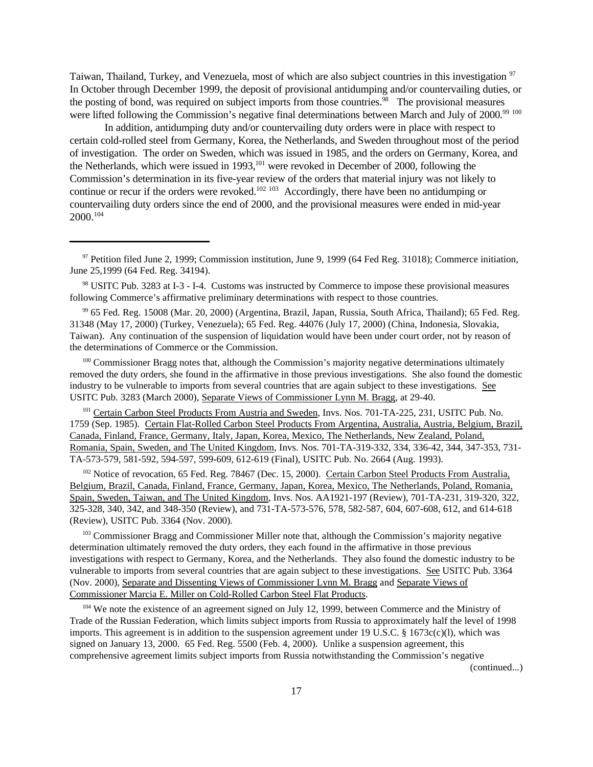Taiwan, Thailand, Turkey, and Venezuela, most of which are also subject countries in this investigation <sup>97</sup> In October through December 1999, the deposit of provisional antidumping and/or countervailing duties, or the posting of bond, was required on subject imports from those countries.<sup>98</sup> The provisional measures were lifted following the Commission's negative final determinations between March and July of 2000.<sup>99 100</sup>

In addition, antidumping duty and/or countervailing duty orders were in place with respect to certain cold-rolled steel from Germany, Korea, the Netherlands, and Sweden throughout most of the period of investigation. The order on Sweden, which was issued in 1985, and the orders on Germany, Korea, and the Netherlands, which were issued in  $1993$ ,  $^{101}$  were revoked in December of 2000, following the Commission's determination in its five-year review of the orders that material injury was not likely to continue or recur if the orders were revoked.<sup>102 103</sup> Accordingly, there have been no antidumping or countervailing duty orders since the end of 2000, and the provisional measures were ended in mid-year 2000.<sup>104</sup>

<sup>100</sup> Commissioner Bragg notes that, although the Commission's majority negative determinations ultimately removed the duty orders, she found in the affirmative in those previous investigations. She also found the domestic industry to be vulnerable to imports from several countries that are again subject to these investigations. See USITC Pub. 3283 (March 2000), Separate Views of Commissioner Lynn M. Bragg, at 29-40.

<sup>101</sup> Certain Carbon Steel Products From Austria and Sweden, Invs. Nos. 701-TA-225, 231, USITC Pub. No. 1759 (Sep. 1985). Certain Flat-Rolled Carbon Steel Products From Argentina, Australia, Austria, Belgium, Brazil, Canada, Finland, France, Germany, Italy, Japan, Korea, Mexico, The Netherlands, New Zealand, Poland, Romania, Spain, Sweden, and The United Kingdom, Invs. Nos. 701-TA-319-332, 334, 336-42, 344, 347-353, 731- TA-573-579, 581-592, 594-597, 599-609, 612-619 (Final), USITC Pub. No. 2664 (Aug. 1993).

<sup>102</sup> Notice of revocation, 65 Fed. Reg. 78467 (Dec. 15, 2000). Certain Carbon Steel Products From Australia, Belgium, Brazil, Canada, Finland, France, Germany, Japan, Korea, Mexico, The Netherlands, Poland, Romania, Spain, Sweden, Taiwan, and The United Kingdom, Invs. Nos. AA1921-197 (Review), 701-TA-231, 319-320, 322, 325-328, 340, 342, and 348-350 (Review), and 731-TA-573-576, 578, 582-587, 604, 607-608, 612, and 614-618 (Review), USITC Pub. 3364 (Nov. 2000).

<sup>103</sup> Commissioner Bragg and Commissioner Miller note that, although the Commission's majority negative determination ultimately removed the duty orders, they each found in the affirmative in those previous investigations with respect to Germany, Korea, and the Netherlands. They also found the domestic industry to be vulnerable to imports from several countries that are again subject to these investigations. See USITC Pub. 3364 (Nov. 2000), Separate and Dissenting Views of Commissioner Lynn M. Bragg and Separate Views of Commissioner Marcia E. Miller on Cold-Rolled Carbon Steel Flat Products.

<sup>104</sup> We note the existence of an agreement signed on July 12, 1999, between Commerce and the Ministry of Trade of the Russian Federation, which limits subject imports from Russia to approximately half the level of 1998 imports. This agreement is in addition to the suspension agreement under 19 U.S.C. § 1673c(c)(l), which was signed on January 13, 2000. 65 Fed. Reg. 5500 (Feb. 4, 2000). Unlike a suspension agreement, this comprehensive agreement limits subject imports from Russia notwithstanding the Commission's negative

(continued...)

<sup>&</sup>lt;sup>97</sup> Petition filed June 2, 1999; Commission institution, June 9, 1999 (64 Fed Reg. 31018); Commerce initiation, June 25,1999 (64 Fed. Reg. 34194).

<sup>98</sup> USITC Pub. 3283 at I-3 - I-4. Customs was instructed by Commerce to impose these provisional measures following Commerce's affirmative preliminary determinations with respect to those countries.

<sup>99</sup> 65 Fed. Reg. 15008 (Mar. 20, 2000) (Argentina, Brazil, Japan, Russia, South Africa, Thailand); 65 Fed. Reg. 31348 (May 17, 2000) (Turkey, Venezuela); 65 Fed. Reg. 44076 (July 17, 2000) (China, Indonesia, Slovakia, Taiwan). Any continuation of the suspension of liquidation would have been under court order, not by reason of the determinations of Commerce or the Commission.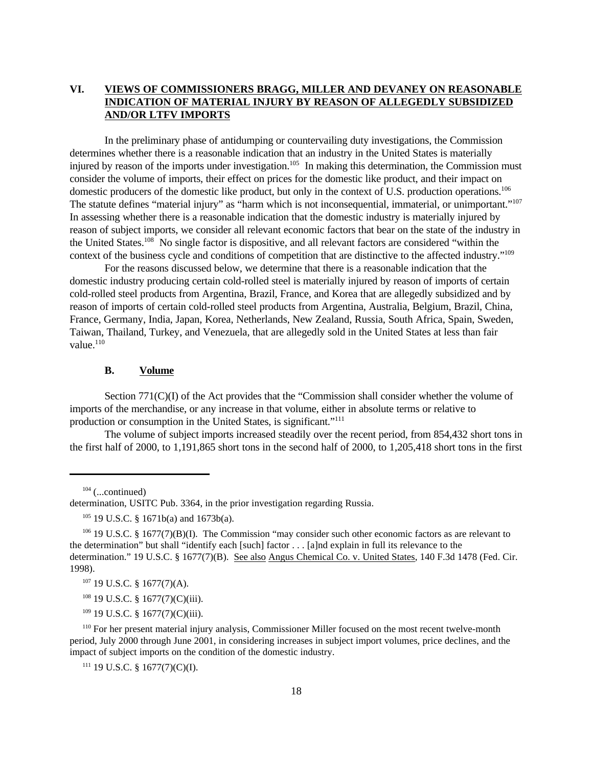# **VI. VIEWS OF COMMISSIONERS BRAGG, MILLER AND DEVANEY ON REASONABLE INDICATION OF MATERIAL INJURY BY REASON OF ALLEGEDLY SUBSIDIZED AND/OR LTFV IMPORTS**

In the preliminary phase of antidumping or countervailing duty investigations, the Commission determines whether there is a reasonable indication that an industry in the United States is materially injured by reason of the imports under investigation.<sup>105</sup> In making this determination, the Commission must consider the volume of imports, their effect on prices for the domestic like product, and their impact on domestic producers of the domestic like product, but only in the context of U.S. production operations.<sup>106</sup> The statute defines "material injury" as "harm which is not inconsequential, immaterial, or unimportant."<sup>107</sup> In assessing whether there is a reasonable indication that the domestic industry is materially injured by reason of subject imports, we consider all relevant economic factors that bear on the state of the industry in the United States.<sup>108</sup> No single factor is dispositive, and all relevant factors are considered "within the context of the business cycle and conditions of competition that are distinctive to the affected industry."<sup>109</sup>

For the reasons discussed below, we determine that there is a reasonable indication that the domestic industry producing certain cold-rolled steel is materially injured by reason of imports of certain cold-rolled steel products from Argentina, Brazil, France, and Korea that are allegedly subsidized and by reason of imports of certain cold-rolled steel products from Argentina, Australia, Belgium, Brazil, China, France, Germany, India, Japan, Korea, Netherlands, New Zealand, Russia, South Africa, Spain, Sweden, Taiwan, Thailand, Turkey, and Venezuela, that are allegedly sold in the United States at less than fair value.<sup>110</sup>

### **B. Volume**

Section 771(C)(I) of the Act provides that the "Commission shall consider whether the volume of imports of the merchandise, or any increase in that volume, either in absolute terms or relative to production or consumption in the United States, is significant."<sup>111</sup>

The volume of subject imports increased steadily over the recent period, from 854,432 short tons in the first half of 2000, to 1,191,865 short tons in the second half of 2000, to 1,205,418 short tons in the first

 $109$  19 U.S.C. § 1677(7)(C)(iii).

<sup>110</sup> For her present material injury analysis, Commissioner Miller focused on the most recent twelve-month period, July 2000 through June 2001, in considering increases in subject import volumes, price declines, and the impact of subject imports on the condition of the domestic industry.

 $111$  19 U.S.C. § 1677(7)(C)(I).

 $104$  (...continued)

determination, USITC Pub. 3364, in the prior investigation regarding Russia.

<sup>105</sup> 19 U.S.C. § 1671b(a) and 1673b(a).

<sup>106</sup> 19 U.S.C. § 1677(7)(B)(I). The Commission "may consider such other economic factors as are relevant to the determination" but shall "identify each [such] factor . . . [a]nd explain in full its relevance to the determination." 19 U.S.C. § 1677(7)(B). See also Angus Chemical Co. v. United States, 140 F.3d 1478 (Fed. Cir. 1998).

<sup>107</sup> 19 U.S.C. § 1677(7)(A).

<sup>&</sup>lt;sup>108</sup> 19 U.S.C. § 1677(7)(C)(iii).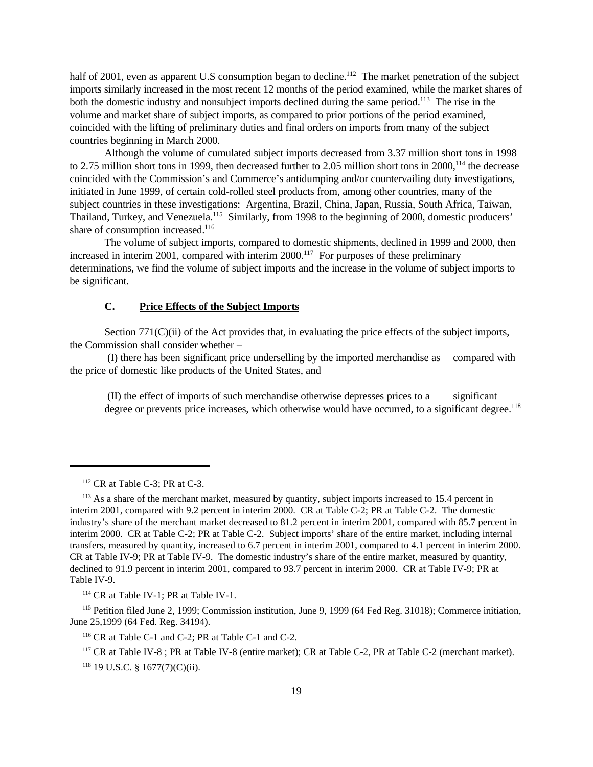half of 2001, even as apparent U.S consumption began to decline.<sup>112</sup> The market penetration of the subject imports similarly increased in the most recent 12 months of the period examined, while the market shares of both the domestic industry and nonsubject imports declined during the same period.<sup>113</sup> The rise in the volume and market share of subject imports, as compared to prior portions of the period examined, coincided with the lifting of preliminary duties and final orders on imports from many of the subject countries beginning in March 2000.

Although the volume of cumulated subject imports decreased from 3.37 million short tons in 1998 to 2.75 million short tons in 1999, then decreased further to 2.05 million short tons in 2000,<sup>114</sup> the decrease coincided with the Commission's and Commerce's antidumping and/or countervailing duty investigations, initiated in June 1999, of certain cold-rolled steel products from, among other countries, many of the subject countries in these investigations: Argentina, Brazil, China, Japan, Russia, South Africa, Taiwan, Thailand, Turkey, and Venezuela.<sup>115</sup> Similarly, from 1998 to the beginning of 2000, domestic producers' share of consumption increased.<sup>116</sup>

The volume of subject imports, compared to domestic shipments, declined in 1999 and 2000, then increased in interim 2001, compared with interim 2000.<sup>117</sup> For purposes of these preliminary determinations, we find the volume of subject imports and the increase in the volume of subject imports to be significant.

# **C. Price Effects of the Subject Imports**

Section 771(C)(ii) of the Act provides that, in evaluating the price effects of the subject imports, the Commission shall consider whether –

 (I) there has been significant price underselling by the imported merchandise as compared with the price of domestic like products of the United States, and

 (II) the effect of imports of such merchandise otherwise depresses prices to a significant degree or prevents price increases, which otherwise would have occurred, to a significant degree.<sup>118</sup>

<sup>115</sup> Petition filed June 2, 1999; Commission institution, June 9, 1999 (64 Fed Reg. 31018); Commerce initiation, June 25,1999 (64 Fed. Reg. 34194).

<sup>117</sup> CR at Table IV-8 ; PR at Table IV-8 (entire market); CR at Table C-2, PR at Table C-2 (merchant market).

<sup>118</sup> 19 U.S.C. § 1677(7)(C)(ii).

 $112$  CR at Table C-3; PR at C-3.

<sup>&</sup>lt;sup>113</sup> As a share of the merchant market, measured by quantity, subject imports increased to 15.4 percent in interim 2001, compared with 9.2 percent in interim 2000. CR at Table C-2; PR at Table C-2. The domestic industry's share of the merchant market decreased to 81.2 percent in interim 2001, compared with 85.7 percent in interim 2000. CR at Table C-2; PR at Table C-2. Subject imports' share of the entire market, including internal transfers, measured by quantity, increased to 6.7 percent in interim 2001, compared to 4.1 percent in interim 2000. CR at Table IV-9; PR at Table IV-9. The domestic industry's share of the entire market, measured by quantity, declined to 91.9 percent in interim 2001, compared to 93.7 percent in interim 2000. CR at Table IV-9; PR at Table IV-9.

<sup>114</sup> CR at Table IV-1; PR at Table IV-1.

<sup>116</sup> CR at Table C-1 and C-2; PR at Table C-1 and C-2.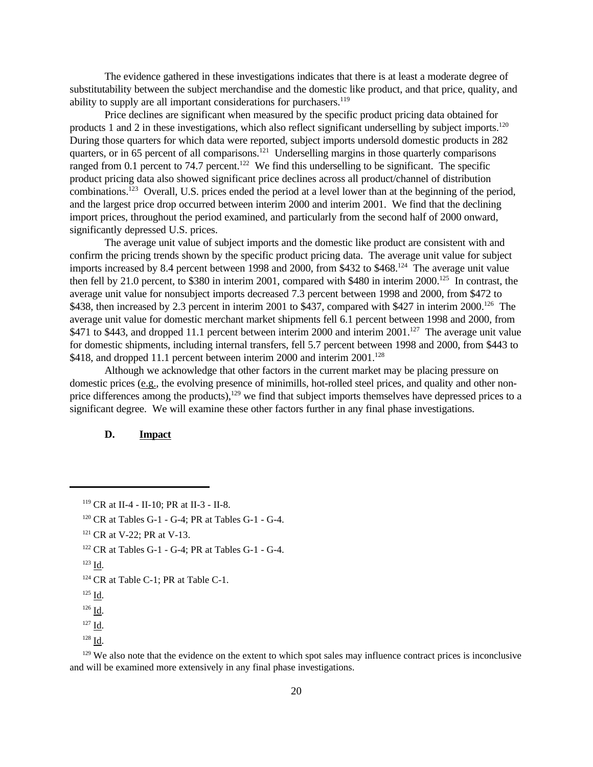The evidence gathered in these investigations indicates that there is at least a moderate degree of substitutability between the subject merchandise and the domestic like product, and that price, quality, and ability to supply are all important considerations for purchasers.<sup>119</sup>

Price declines are significant when measured by the specific product pricing data obtained for products 1 and 2 in these investigations, which also reflect significant underselling by subject imports.<sup>120</sup> During those quarters for which data were reported, subject imports undersold domestic products in 282 quarters, or in 65 percent of all comparisons.<sup>121</sup> Underselling margins in those quarterly comparisons ranged from 0.1 percent to 74.7 percent.<sup>122</sup> We find this underselling to be significant. The specific product pricing data also showed significant price declines across all product/channel of distribution combinations.<sup>123</sup> Overall, U.S. prices ended the period at a level lower than at the beginning of the period, and the largest price drop occurred between interim 2000 and interim 2001. We find that the declining import prices, throughout the period examined, and particularly from the second half of 2000 onward, significantly depressed U.S. prices.

The average unit value of subject imports and the domestic like product are consistent with and confirm the pricing trends shown by the specific product pricing data. The average unit value for subject imports increased by 8.4 percent between 1998 and 2000, from \$432 to \$468.<sup>124</sup> The average unit value then fell by 21.0 percent, to \$380 in interim 2001, compared with \$480 in interim 2000.<sup>125</sup> In contrast, the average unit value for nonsubject imports decreased 7.3 percent between 1998 and 2000, from \$472 to \$438, then increased by 2.3 percent in interim 2001 to \$437, compared with \$427 in interim 2000.<sup>126</sup> The average unit value for domestic merchant market shipments fell 6.1 percent between 1998 and 2000, from \$471 to \$443, and dropped 11.1 percent between interim 2000 and interim 2001.<sup>127</sup> The average unit value for domestic shipments, including internal transfers, fell 5.7 percent between 1998 and 2000, from \$443 to \$418, and dropped 11.1 percent between interim 2000 and interim 2001.<sup>128</sup>

Although we acknowledge that other factors in the current market may be placing pressure on domestic prices (e.g., the evolving presence of minimills, hot-rolled steel prices, and quality and other nonprice differences among the products),<sup>129</sup> we find that subject imports themselves have depressed prices to a significant degree. We will examine these other factors further in any final phase investigations.

# **D. Impact**

<sup>120</sup> CR at Tables G-1 - G-4; PR at Tables G-1 - G-4.

<sup>122</sup> CR at Tables G-1 - G-4; PR at Tables G-1 - G-4.

<sup>119</sup> CR at II-4 - II-10; PR at II-3 - II-8.

<sup>&</sup>lt;sup>121</sup> CR at V-22; PR at V-13.

<sup>123</sup> Id.

<sup>&</sup>lt;sup>124</sup> CR at Table C-1; PR at Table C-1.

<sup>125</sup> Id.

 $126$  Id.

<sup>127</sup> Id.

<sup>128</sup> Id.

<sup>&</sup>lt;sup>129</sup> We also note that the evidence on the extent to which spot sales may influence contract prices is inconclusive and will be examined more extensively in any final phase investigations.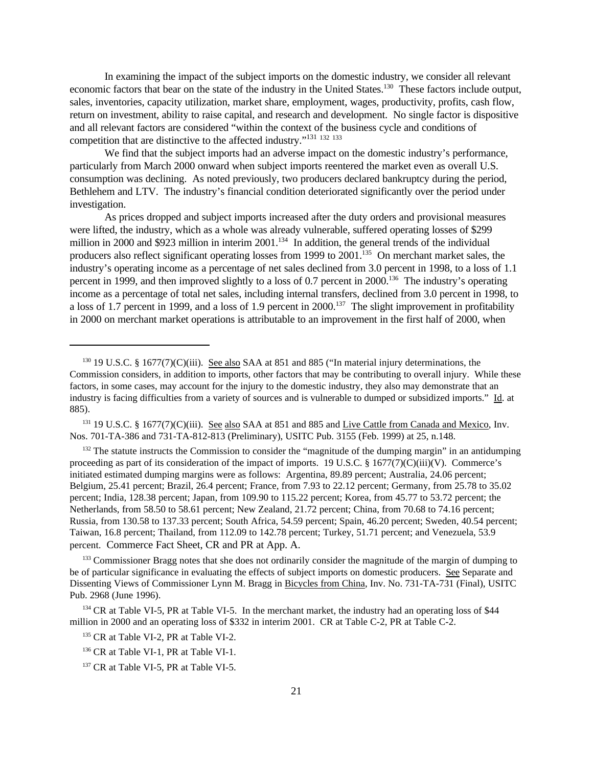In examining the impact of the subject imports on the domestic industry, we consider all relevant economic factors that bear on the state of the industry in the United States.<sup>130</sup> These factors include output, sales, inventories, capacity utilization, market share, employment, wages, productivity, profits, cash flow, return on investment, ability to raise capital, and research and development. No single factor is dispositive and all relevant factors are considered "within the context of the business cycle and conditions of competition that are distinctive to the affected industry."<sup>131</sup> <sup>132</sup> <sup>133</sup>

We find that the subject imports had an adverse impact on the domestic industry's performance, particularly from March 2000 onward when subject imports reentered the market even as overall U.S. consumption was declining. As noted previously, two producers declared bankruptcy during the period, Bethlehem and LTV. The industry's financial condition deteriorated significantly over the period under investigation.

As prices dropped and subject imports increased after the duty orders and provisional measures were lifted, the industry, which as a whole was already vulnerable, suffered operating losses of \$299 million in 2000 and \$923 million in interim 2001.<sup>134</sup> In addition, the general trends of the individual producers also reflect significant operating losses from 1999 to 2001.<sup>135</sup> On merchant market sales, the industry's operating income as a percentage of net sales declined from 3.0 percent in 1998, to a loss of 1.1 percent in 1999, and then improved slightly to a loss of 0.7 percent in 2000.<sup>136</sup> The industry's operating income as a percentage of total net sales, including internal transfers, declined from 3.0 percent in 1998, to a loss of 1.7 percent in 1999, and a loss of 1.9 percent in 2000.<sup>137</sup> The slight improvement in profitability in 2000 on merchant market operations is attributable to an improvement in the first half of 2000, when

<sup>133</sup> Commissioner Bragg notes that she does not ordinarily consider the magnitude of the margin of dumping to be of particular significance in evaluating the effects of subject imports on domestic producers. See Separate and Dissenting Views of Commissioner Lynn M. Bragg in Bicycles from China, Inv. No. 731-TA-731 (Final), USITC Pub. 2968 (June 1996).

<sup>&</sup>lt;sup>130</sup> 19 U.S.C. § 1677(7)(C)(iii). See also SAA at 851 and 885 ("In material injury determinations, the Commission considers, in addition to imports, other factors that may be contributing to overall injury. While these factors, in some cases, may account for the injury to the domestic industry, they also may demonstrate that an industry is facing difficulties from a variety of sources and is vulnerable to dumped or subsidized imports." Id. at 885).

<sup>&</sup>lt;sup>131</sup> 19 U.S.C. § 1677(7)(C)(iii). <u>See also</u> SAA at 851 and 885 and Live Cattle from Canada and Mexico, Inv. Nos. 701-TA-386 and 731-TA-812-813 (Preliminary), USITC Pub. 3155 (Feb. 1999) at 25, n.148.

<sup>&</sup>lt;sup>132</sup> The statute instructs the Commission to consider the "magnitude of the dumping margin" in an antidumping proceeding as part of its consideration of the impact of imports. 19 U.S.C. § 1677(7)(C)(iii)(V). Commerce's initiated estimated dumping margins were as follows: Argentina, 89.89 percent; Australia, 24.06 percent; Belgium, 25.41 percent; Brazil, 26.4 percent; France, from 7.93 to 22.12 percent; Germany, from 25.78 to 35.02 percent; India, 128.38 percent; Japan, from 109.90 to 115.22 percent; Korea, from 45.77 to 53.72 percent; the Netherlands, from 58.50 to 58.61 percent; New Zealand, 21.72 percent; China, from 70.68 to 74.16 percent; Russia, from 130.58 to 137.33 percent; South Africa, 54.59 percent; Spain, 46.20 percent; Sweden, 40.54 percent; Taiwan, 16.8 percent; Thailand, from 112.09 to 142.78 percent; Turkey, 51.71 percent; and Venezuela, 53.9 percent. Commerce Fact Sheet, CR and PR at App. A.

<sup>&</sup>lt;sup>134</sup> CR at Table VI-5, PR at Table VI-5. In the merchant market, the industry had an operating loss of \$44 million in 2000 and an operating loss of \$332 in interim 2001. CR at Table C-2, PR at Table C-2.

<sup>&</sup>lt;sup>135</sup> CR at Table VI-2, PR at Table VI-2.

<sup>&</sup>lt;sup>136</sup> CR at Table VI-1, PR at Table VI-1.

<sup>&</sup>lt;sup>137</sup> CR at Table VI-5, PR at Table VI-5.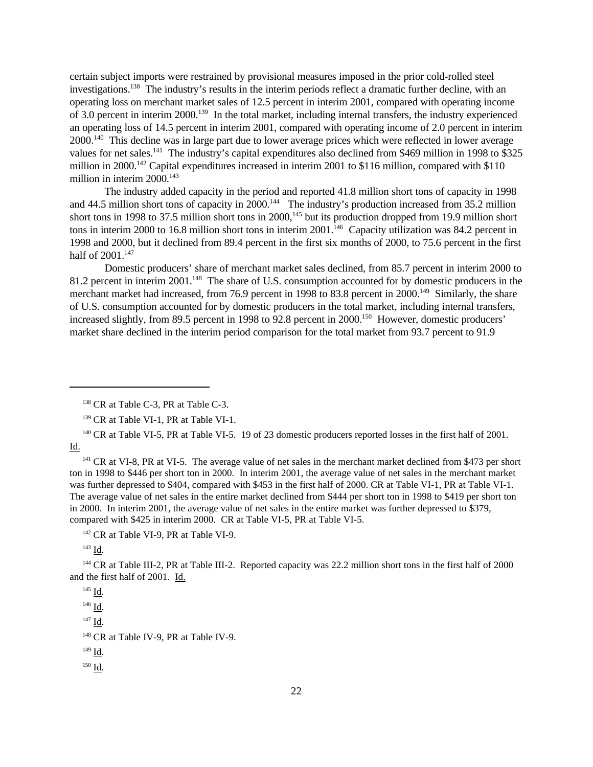certain subject imports were restrained by provisional measures imposed in the prior cold-rolled steel investigations.<sup>138</sup> The industry's results in the interim periods reflect a dramatic further decline, with an operating loss on merchant market sales of 12.5 percent in interim 2001, compared with operating income of 3.0 percent in interim 2000.<sup>139</sup> In the total market, including internal transfers, the industry experienced an operating loss of 14.5 percent in interim 2001, compared with operating income of 2.0 percent in interim 2000.<sup>140</sup> This decline was in large part due to lower average prices which were reflected in lower average values for net sales.<sup>141</sup> The industry's capital expenditures also declined from \$469 million in 1998 to \$325 million in 2000.<sup>142</sup> Capital expenditures increased in interim 2001 to \$116 million, compared with \$110 million in interim  $2000$ .<sup>143</sup>

The industry added capacity in the period and reported 41.8 million short tons of capacity in 1998 and 44.5 million short tons of capacity in 2000.<sup>144</sup> The industry's production increased from 35.2 million short tons in 1998 to 37.5 million short tons in 2000,<sup>145</sup> but its production dropped from 19.9 million short tons in interim 2000 to 16.8 million short tons in interim 2001.<sup>146</sup> Capacity utilization was 84.2 percent in 1998 and 2000, but it declined from 89.4 percent in the first six months of 2000, to 75.6 percent in the first half of 2001.<sup>147</sup>

Domestic producers' share of merchant market sales declined, from 85.7 percent in interim 2000 to 81.2 percent in interim 2001.<sup>148</sup> The share of U.S. consumption accounted for by domestic producers in the merchant market had increased, from 76.9 percent in 1998 to 83.8 percent in 2000.<sup>149</sup> Similarly, the share of U.S. consumption accounted for by domestic producers in the total market, including internal transfers, increased slightly, from 89.5 percent in 1998 to 92.8 percent in 2000.<sup>150</sup> However, domestic producers' market share declined in the interim period comparison for the total market from 93.7 percent to 91.9

<sup>142</sup> CR at Table VI-9, PR at Table VI-9.

 $^{143}$  Id.

<sup>144</sup> CR at Table III-2, PR at Table III-2. Reported capacity was 22.2 million short tons in the first half of 2000 and the first half of 2001. Id.

 $^{147}$  Id.

<sup>148</sup> CR at Table IV-9, PR at Table IV-9.

<sup>150</sup> Id.

<sup>&</sup>lt;sup>138</sup> CR at Table C-3, PR at Table C-3.

<sup>&</sup>lt;sup>139</sup> CR at Table VI-1, PR at Table VI-1.

<sup>&</sup>lt;sup>140</sup> CR at Table VI-5, PR at Table VI-5. 19 of 23 domestic producers reported losses in the first half of 2001. Id.

<sup>&</sup>lt;sup>141</sup> CR at VI-8, PR at VI-5. The average value of net sales in the merchant market declined from \$473 per short ton in 1998 to \$446 per short ton in 2000. In interim 2001, the average value of net sales in the merchant market was further depressed to \$404, compared with \$453 in the first half of 2000. CR at Table VI-1, PR at Table VI-1. The average value of net sales in the entire market declined from \$444 per short ton in 1998 to \$419 per short ton in 2000. In interim 2001, the average value of net sales in the entire market was further depressed to \$379, compared with \$425 in interim 2000. CR at Table VI-5, PR at Table VI-5.

<sup>145</sup> Id. <sup>146</sup> Id.

 $149 \underline{Id}$ .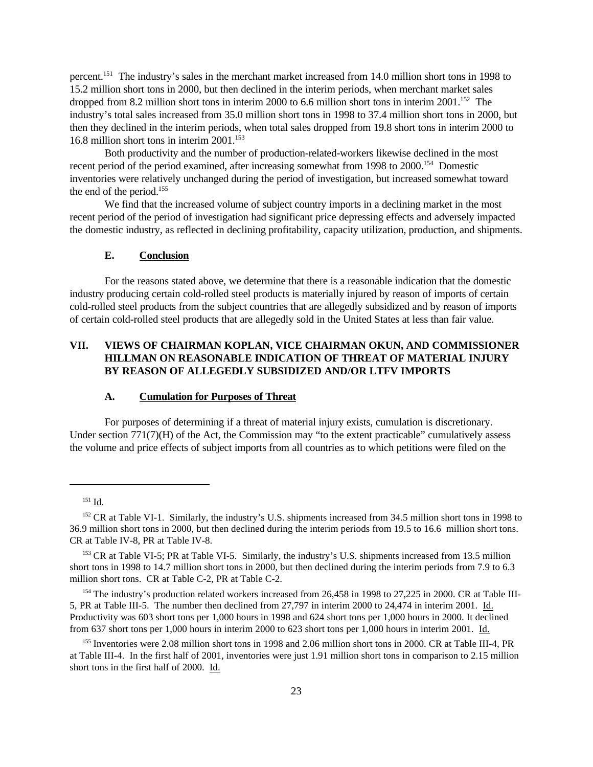percent.<sup>151</sup> The industry's sales in the merchant market increased from 14.0 million short tons in 1998 to 15.2 million short tons in 2000, but then declined in the interim periods, when merchant market sales dropped from 8.2 million short tons in interim 2000 to 6.6 million short tons in interim  $2001$ .<sup>152</sup> The industry's total sales increased from 35.0 million short tons in 1998 to 37.4 million short tons in 2000, but then they declined in the interim periods, when total sales dropped from 19.8 short tons in interim 2000 to 16.8 million short tons in interim 2001.<sup>153</sup>

Both productivity and the number of production-related-workers likewise declined in the most recent period of the period examined, after increasing somewhat from 1998 to 2000.<sup>154</sup> Domestic inventories were relatively unchanged during the period of investigation, but increased somewhat toward the end of the period.<sup>155</sup>

We find that the increased volume of subject country imports in a declining market in the most recent period of the period of investigation had significant price depressing effects and adversely impacted the domestic industry, as reflected in declining profitability, capacity utilization, production, and shipments.

## **E. Conclusion**

For the reasons stated above, we determine that there is a reasonable indication that the domestic industry producing certain cold-rolled steel products is materially injured by reason of imports of certain cold-rolled steel products from the subject countries that are allegedly subsidized and by reason of imports of certain cold-rolled steel products that are allegedly sold in the United States at less than fair value.

# **VII. VIEWS OF CHAIRMAN KOPLAN, VICE CHAIRMAN OKUN, AND COMMISSIONER HILLMAN ON REASONABLE INDICATION OF THREAT OF MATERIAL INJURY BY REASON OF ALLEGEDLY SUBSIDIZED AND/OR LTFV IMPORTS**

#### **A. Cumulation for Purposes of Threat**

For purposes of determining if a threat of material injury exists, cumulation is discretionary. Under section 771(7)(H) of the Act, the Commission may "to the extent practicable" cumulatively assess the volume and price effects of subject imports from all countries as to which petitions were filed on the

<sup>154</sup> The industry's production related workers increased from 26,458 in 1998 to 27,225 in 2000. CR at Table III-5, PR at Table III-5. The number then declined from 27,797 in interim 2000 to 24,474 in interim 2001. Id. Productivity was 603 short tons per 1,000 hours in 1998 and 624 short tons per 1,000 hours in 2000. It declined from 637 short tons per 1,000 hours in interim 2000 to 623 short tons per 1,000 hours in interim 2001. Id.

<sup>151</sup> Id.

<sup>&</sup>lt;sup>152</sup> CR at Table VI-1. Similarly, the industry's U.S. shipments increased from 34.5 million short tons in 1998 to 36.9 million short tons in 2000, but then declined during the interim periods from 19.5 to 16.6 million short tons. CR at Table IV-8, PR at Table IV-8.

<sup>&</sup>lt;sup>153</sup> CR at Table VI-5; PR at Table VI-5. Similarly, the industry's U.S. shipments increased from 13.5 million short tons in 1998 to 14.7 million short tons in 2000, but then declined during the interim periods from 7.9 to 6.3 million short tons. CR at Table C-2, PR at Table C-2.

<sup>&</sup>lt;sup>155</sup> Inventories were 2.08 million short tons in 1998 and 2.06 million short tons in 2000. CR at Table III-4, PR at Table III-4. In the first half of 2001, inventories were just 1.91 million short tons in comparison to 2.15 million short tons in the first half of 2000. Id.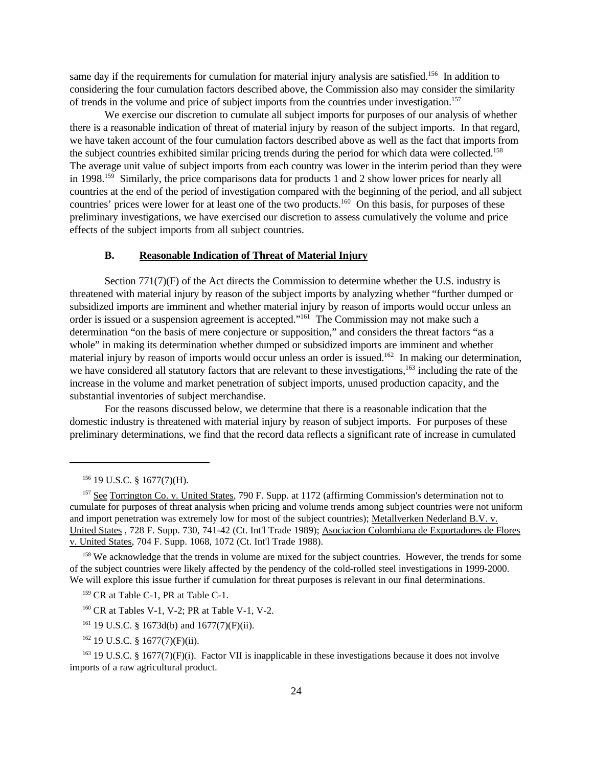same day if the requirements for cumulation for material injury analysis are satisfied.<sup>156</sup> In addition to considering the four cumulation factors described above, the Commission also may consider the similarity of trends in the volume and price of subject imports from the countries under investigation.<sup>157</sup>

We exercise our discretion to cumulate all subject imports for purposes of our analysis of whether there is a reasonable indication of threat of material injury by reason of the subject imports. In that regard, we have taken account of the four cumulation factors described above as well as the fact that imports from the subject countries exhibited similar pricing trends during the period for which data were collected.<sup>158</sup> The average unit value of subject imports from each country was lower in the interim period than they were in 1998.<sup>159</sup> Similarly, the price comparisons data for products 1 and 2 show lower prices for nearly all countries at the end of the period of investigation compared with the beginning of the period, and all subject countries' prices were lower for at least one of the two products.<sup>160</sup> On this basis, for purposes of these preliminary investigations, we have exercised our discretion to assess cumulatively the volume and price effects of the subject imports from all subject countries.

## **B. Reasonable Indication of Threat of Material Injury**

Section  $771(7)(F)$  of the Act directs the Commission to determine whether the U.S. industry is threatened with material injury by reason of the subject imports by analyzing whether "further dumped or subsidized imports are imminent and whether material injury by reason of imports would occur unless an order is issued or a suspension agreement is accepted."<sup>161</sup> The Commission may not make such a determination "on the basis of mere conjecture or supposition," and considers the threat factors "as a whole" in making its determination whether dumped or subsidized imports are imminent and whether material injury by reason of imports would occur unless an order is issued.<sup>162</sup> In making our determination, we have considered all statutory factors that are relevant to these investigations,<sup>163</sup> including the rate of the increase in the volume and market penetration of subject imports, unused production capacity, and the substantial inventories of subject merchandise.

For the reasons discussed below, we determine that there is a reasonable indication that the domestic industry is threatened with material injury by reason of subject imports. For purposes of these preliminary determinations, we find that the record data reflects a significant rate of increase in cumulated

<sup>158</sup> We acknowledge that the trends in volume are mixed for the subject countries. However, the trends for some of the subject countries were likely affected by the pendency of the cold-rolled steel investigations in 1999-2000. We will explore this issue further if cumulation for threat purposes is relevant in our final determinations.

<sup>160</sup> CR at Tables V-1, V-2; PR at Table V-1, V-2.

 $162$  19 U.S.C. § 1677(7)(F)(ii).

<sup>163</sup> 19 U.S.C. § 1677(7)(F)(i). Factor VII is inapplicable in these investigations because it does not involve imports of a raw agricultural product.

<sup>156</sup> 19 U.S.C. § 1677(7)(H).

<sup>&</sup>lt;sup>157</sup> See Torrington Co. v. United States, 790 F. Supp. at 1172 (affirming Commission's determination not to cumulate for purposes of threat analysis when pricing and volume trends among subject countries were not uniform and import penetration was extremely low for most of the subject countries); Metallverken Nederland B.V. v. United States , 728 F. Supp. 730, 741-42 (Ct. Int'l Trade 1989); Asociacion Colombiana de Exportadores de Flores v. United States, 704 F. Supp. 1068, 1072 (Ct. Int'l Trade 1988).

<sup>&</sup>lt;sup>159</sup> CR at Table C-1, PR at Table C-1.

<sup>&</sup>lt;sup>161</sup> 19 U.S.C. § 1673d(b) and 1677(7)(F)(ii).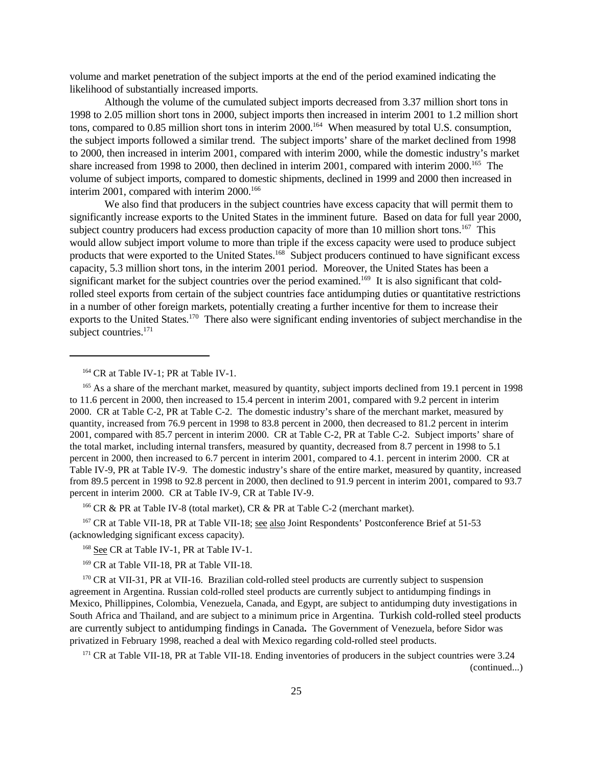volume and market penetration of the subject imports at the end of the period examined indicating the likelihood of substantially increased imports.

Although the volume of the cumulated subject imports decreased from 3.37 million short tons in 1998 to 2.05 million short tons in 2000, subject imports then increased in interim 2001 to 1.2 million short tons, compared to 0.85 million short tons in interim 2000.<sup>164</sup> When measured by total U.S. consumption, the subject imports followed a similar trend. The subject imports' share of the market declined from 1998 to 2000, then increased in interim 2001, compared with interim 2000, while the domestic industry's market share increased from 1998 to 2000, then declined in interim 2001, compared with interim 2000.<sup>165</sup> The volume of subject imports, compared to domestic shipments, declined in 1999 and 2000 then increased in interim 2001, compared with interim 2000.<sup>166</sup>

We also find that producers in the subject countries have excess capacity that will permit them to significantly increase exports to the United States in the imminent future. Based on data for full year 2000, subject country producers had excess production capacity of more than 10 million short tons.<sup>167</sup> This would allow subject import volume to more than triple if the excess capacity were used to produce subject products that were exported to the United States.<sup>168</sup> Subject producers continued to have significant excess capacity, 5.3 million short tons, in the interim 2001 period. Moreover, the United States has been a significant market for the subject countries over the period examined.<sup>169</sup> It is also significant that coldrolled steel exports from certain of the subject countries face antidumping duties or quantitative restrictions in a number of other foreign markets, potentially creating a further incentive for them to increase their exports to the United States.<sup>170</sup> There also were significant ending inventories of subject merchandise in the subject countries.<sup>171</sup>

<sup>166</sup> CR & PR at Table IV-8 (total market), CR & PR at Table C-2 (merchant market).

<sup>167</sup> CR at Table VII-18, PR at Table VII-18; see also Joint Respondents' Postconference Brief at 51-53 (acknowledging significant excess capacity).

<sup>171</sup> CR at Table VII-18, PR at Table VII-18. Ending inventories of producers in the subject countries were 3.24 (continued...)

<sup>&</sup>lt;sup>164</sup> CR at Table IV-1; PR at Table IV-1.

<sup>&</sup>lt;sup>165</sup> As a share of the merchant market, measured by quantity, subject imports declined from 19.1 percent in 1998 to 11.6 percent in 2000, then increased to 15.4 percent in interim 2001, compared with 9.2 percent in interim 2000. CR at Table C-2, PR at Table C-2. The domestic industry's share of the merchant market, measured by quantity, increased from 76.9 percent in 1998 to 83.8 percent in 2000, then decreased to 81.2 percent in interim 2001, compared with 85.7 percent in interim 2000. CR at Table C-2, PR at Table C-2. Subject imports' share of the total market, including internal transfers, measured by quantity, decreased from 8.7 percent in 1998 to 5.1 percent in 2000, then increased to 6.7 percent in interim 2001, compared to 4.1. percent in interim 2000. CR at Table IV-9, PR at Table IV-9. The domestic industry's share of the entire market, measured by quantity, increased from 89.5 percent in 1998 to 92.8 percent in 2000, then declined to 91.9 percent in interim 2001, compared to 93.7 percent in interim 2000. CR at Table IV-9, CR at Table IV-9.

<sup>&</sup>lt;sup>168</sup> See CR at Table IV-1, PR at Table IV-1.

<sup>&</sup>lt;sup>169</sup> CR at Table VII-18, PR at Table VII-18.

<sup>&</sup>lt;sup>170</sup> CR at VII-31, PR at VII-16. Brazilian cold-rolled steel products are currently subject to suspension agreement in Argentina. Russian cold-rolled steel products are currently subject to antidumping findings in Mexico, Phillippines, Colombia, Venezuela, Canada, and Egypt, are subject to antidumping duty investigations in South Africa and Thailand, and are subject to a minimum price in Argentina.Turkish cold-rolled steel products are currently subject to antidumping findings in Canada**.** The Government of Venezuela, before Sidor was privatized in February 1998, reached a deal with Mexico regarding cold-rolled steel products.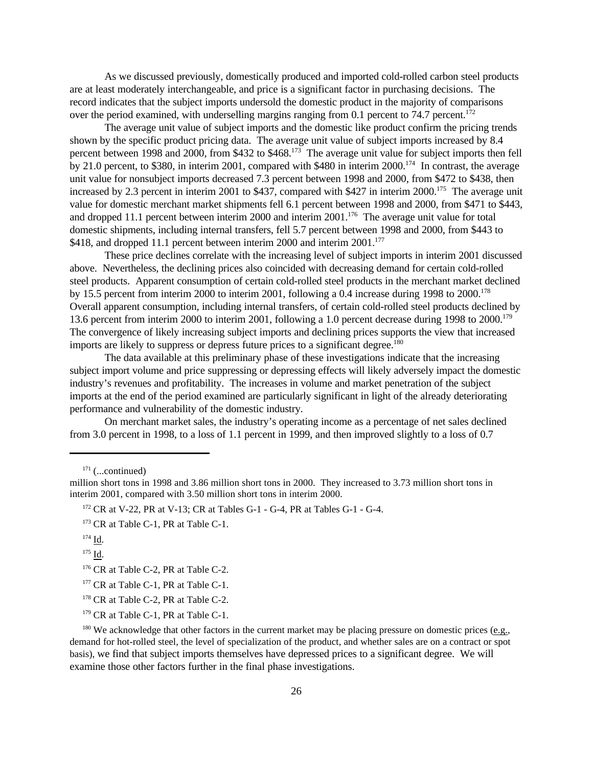As we discussed previously, domestically produced and imported cold-rolled carbon steel products are at least moderately interchangeable, and price is a significant factor in purchasing decisions. The record indicates that the subject imports undersold the domestic product in the majority of comparisons over the period examined, with underselling margins ranging from 0.1 percent to 74.7 percent.<sup>172</sup>

The average unit value of subject imports and the domestic like product confirm the pricing trends shown by the specific product pricing data. The average unit value of subject imports increased by 8.4 percent between 1998 and 2000, from \$432 to \$468.<sup>173</sup> The average unit value for subject imports then fell by 21.0 percent, to \$380, in interim 2001, compared with \$480 in interim 2000.<sup>174</sup> In contrast, the average unit value for nonsubject imports decreased 7.3 percent between 1998 and 2000, from \$472 to \$438, then increased by 2.3 percent in interim 2001 to \$437, compared with \$427 in interim 2000.<sup>175</sup> The average unit value for domestic merchant market shipments fell 6.1 percent between 1998 and 2000, from \$471 to \$443, and dropped 11.1 percent between interim 2000 and interim 2001.<sup>176</sup> The average unit value for total domestic shipments, including internal transfers, fell 5.7 percent between 1998 and 2000, from \$443 to \$418, and dropped 11.1 percent between interim 2000 and interim 2001.<sup>177</sup>

These price declines correlate with the increasing level of subject imports in interim 2001 discussed above. Nevertheless, the declining prices also coincided with decreasing demand for certain cold-rolled steel products. Apparent consumption of certain cold-rolled steel products in the merchant market declined by 15.5 percent from interim 2000 to interim 2001, following a 0.4 increase during 1998 to 2000.<sup>178</sup> Overall apparent consumption, including internal transfers, of certain cold-rolled steel products declined by 13.6 percent from interim 2000 to interim 2001, following a 1.0 percent decrease during 1998 to 2000.<sup>179</sup> The convergence of likely increasing subject imports and declining prices supports the view that increased imports are likely to suppress or depress future prices to a significant degree.<sup>180</sup>

The data available at this preliminary phase of these investigations indicate that the increasing subject import volume and price suppressing or depressing effects will likely adversely impact the domestic industry's revenues and profitability. The increases in volume and market penetration of the subject imports at the end of the period examined are particularly significant in light of the already deteriorating performance and vulnerability of the domestic industry.

On merchant market sales, the industry's operating income as a percentage of net sales declined from 3.0 percent in 1998, to a loss of 1.1 percent in 1999, and then improved slightly to a loss of 0.7

 $171$  (...continued)

<sup>172</sup> CR at V-22, PR at V-13; CR at Tables G-1 - G-4, PR at Tables G-1 - G-4.

<sup>173</sup> CR at Table C-1, PR at Table C-1.

<sup>176</sup> CR at Table C-2, PR at Table C-2.

<sup>177</sup> CR at Table C-1, PR at Table C-1.

<sup>178</sup> CR at Table C-2, PR at Table C-2.

<sup>179</sup> CR at Table C-1, PR at Table C-1.

<sup>180</sup> We acknowledge that other factors in the current market may be placing pressure on domestic prices (e.g., demand for hot-rolled steel, the level of specialization of the product, and whether sales are on a contract or spot basis), we find that subject imports themselves have depressed prices to a significant degree. We will examine those other factors further in the final phase investigations.

million short tons in 1998 and 3.86 million short tons in 2000. They increased to 3.73 million short tons in interim 2001, compared with 3.50 million short tons in interim 2000.

<sup>174</sup> Id.

<sup>175</sup> Id.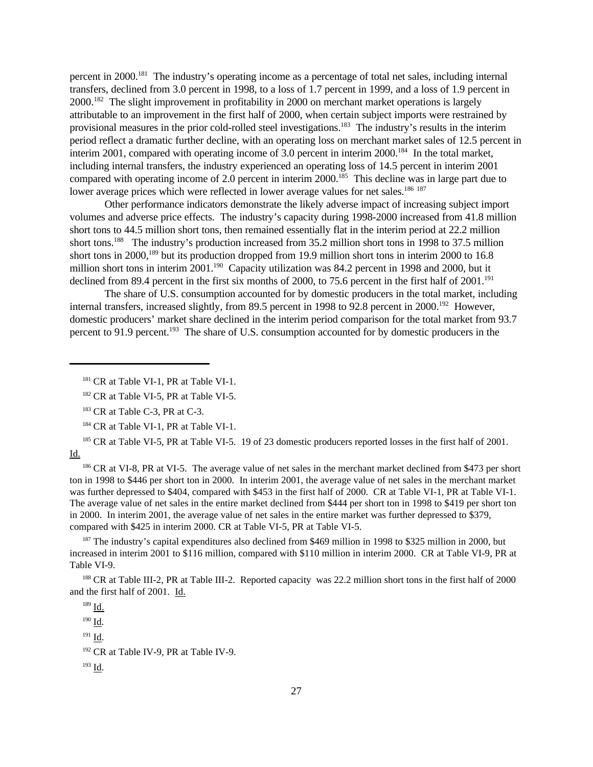percent in 2000.<sup>181</sup> The industry's operating income as a percentage of total net sales, including internal transfers, declined from 3.0 percent in 1998, to a loss of 1.7 percent in 1999, and a loss of 1.9 percent in 2000.<sup>182</sup> The slight improvement in profitability in 2000 on merchant market operations is largely attributable to an improvement in the first half of 2000, when certain subject imports were restrained by provisional measures in the prior cold-rolled steel investigations.<sup>183</sup> The industry's results in the interim period reflect a dramatic further decline, with an operating loss on merchant market sales of 12.5 percent in interim 2001, compared with operating income of 3.0 percent in interim 2000.<sup>184</sup> In the total market, including internal transfers, the industry experienced an operating loss of 14.5 percent in interim 2001 compared with operating income of 2.0 percent in interim 2000.<sup>185</sup> This decline was in large part due to lower average prices which were reflected in lower average values for net sales.<sup>186 187</sup>

Other performance indicators demonstrate the likely adverse impact of increasing subject import volumes and adverse price effects. The industry's capacity during 1998-2000 increased from 41.8 million short tons to 44.5 million short tons, then remained essentially flat in the interim period at 22.2 million short tons.<sup>188</sup> The industry's production increased from 35.2 million short tons in 1998 to 37.5 million short tons in 2000,<sup>189</sup> but its production dropped from 19.9 million short tons in interim 2000 to 16.8 million short tons in interim 2001.<sup>190</sup> Capacity utilization was 84.2 percent in 1998 and 2000, but it declined from 89.4 percent in the first six months of 2000, to 75.6 percent in the first half of 2001.<sup>191</sup>

The share of U.S. consumption accounted for by domestic producers in the total market, including internal transfers, increased slightly, from 89.5 percent in 1998 to 92.8 percent in 2000.<sup>192</sup> However, domestic producers' market share declined in the interim period comparison for the total market from 93.7 percent to 91.9 percent.<sup>193</sup> The share of U.S. consumption accounted for by domestic producers in the

<sup>185</sup> CR at Table VI-5, PR at Table VI-5. 19 of 23 domestic producers reported losses in the first half of 2001. Id.

<sup>186</sup> CR at VI-8, PR at VI-5. The average value of net sales in the merchant market declined from \$473 per short ton in 1998 to \$446 per short ton in 2000. In interim 2001, the average value of net sales in the merchant market was further depressed to \$404, compared with \$453 in the first half of 2000. CR at Table VI-1, PR at Table VI-1. The average value of net sales in the entire market declined from \$444 per short ton in 1998 to \$419 per short ton in 2000. In interim 2001, the average value of net sales in the entire market was further depressed to \$379, compared with \$425 in interim 2000. CR at Table VI-5, PR at Table VI-5.

<sup>187</sup> The industry's capital expenditures also declined from \$469 million in 1998 to \$325 million in 2000, but increased in interim 2001 to \$116 million, compared with \$110 million in interim 2000. CR at Table VI-9, PR at Table VI-9.

<sup>188</sup> CR at Table III-2, PR at Table III-2. Reported capacity was 22.2 million short tons in the first half of 2000 and the first half of 2001. Id.

<sup>189</sup> Id.  $190 \underline{\mathbf{Id}}$ . <sup>191</sup> Id. <sup>192</sup> CR at Table IV-9, PR at Table IV-9. <sup>193</sup> Id.

<sup>&</sup>lt;sup>181</sup> CR at Table VI-1, PR at Table VI-1.

<sup>&</sup>lt;sup>182</sup> CR at Table VI-5, PR at Table VI-5.

<sup>&</sup>lt;sup>183</sup> CR at Table C-3, PR at C-3.

<sup>&</sup>lt;sup>184</sup> CR at Table VI-1, PR at Table VI-1.